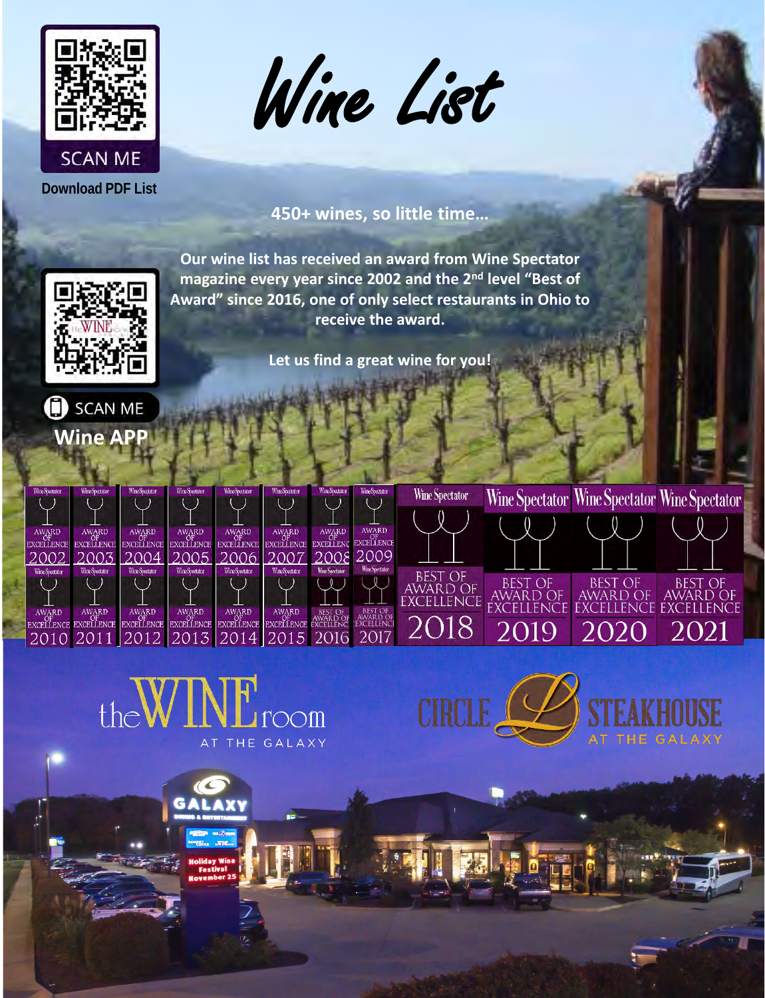





## **450+ wines, so little time…**

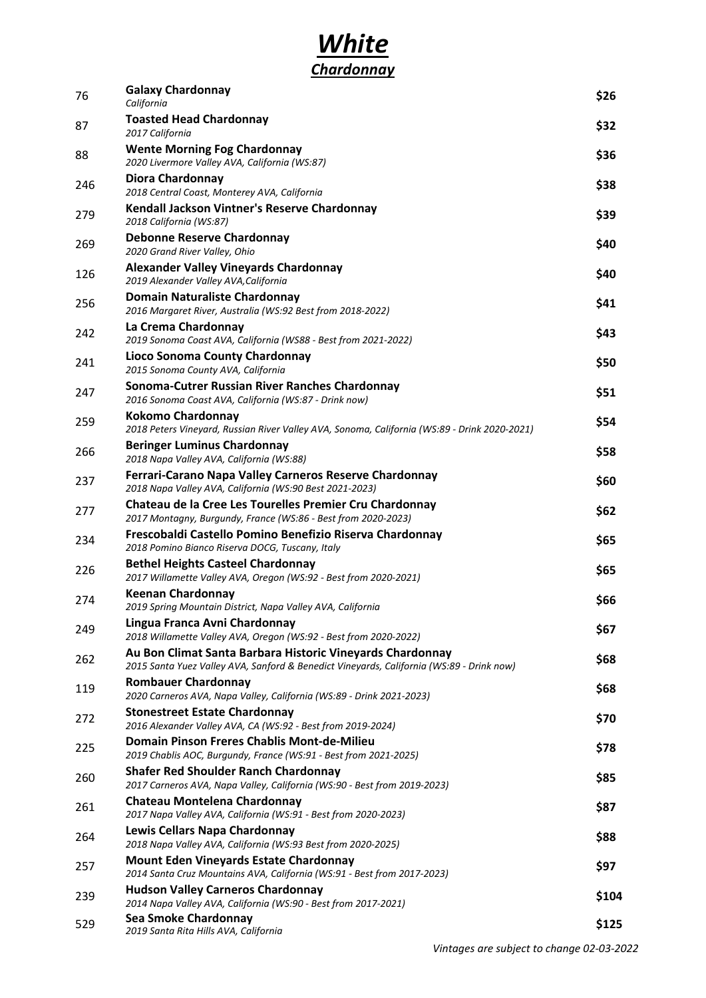

| 76  | <b>Galaxy Chardonnay</b><br>California                                                                                                                | \$26  |
|-----|-------------------------------------------------------------------------------------------------------------------------------------------------------|-------|
| 87  | <b>Toasted Head Chardonnay</b><br>2017 California                                                                                                     | \$32  |
| 88  | <b>Wente Morning Fog Chardonnay</b><br>2020 Livermore Valley AVA, California (WS:87)                                                                  | \$36  |
| 246 | <b>Diora Chardonnay</b><br>2018 Central Coast, Monterey AVA, California                                                                               | \$38  |
| 279 | Kendall Jackson Vintner's Reserve Chardonnay<br>2018 California (WS:87)                                                                               | \$39  |
| 269 | <b>Debonne Reserve Chardonnay</b><br>2020 Grand River Valley, Ohio                                                                                    | \$40  |
| 126 | <b>Alexander Valley Vineyards Chardonnay</b><br>2019 Alexander Valley AVA, California                                                                 | \$40  |
| 256 | <b>Domain Naturaliste Chardonnay</b><br>2016 Margaret River, Australia (WS:92 Best from 2018-2022)                                                    | \$41  |
| 242 | La Crema Chardonnay<br>2019 Sonoma Coast AVA, California (WS88 - Best from 2021-2022)                                                                 | \$43  |
| 241 | Lioco Sonoma County Chardonnay<br>2015 Sonoma County AVA, California                                                                                  | \$50  |
| 247 | Sonoma-Cutrer Russian River Ranches Chardonnay<br>2016 Sonoma Coast AVA, California (WS:87 - Drink now)                                               | \$51  |
| 259 | <b>Kokomo Chardonnay</b><br>2018 Peters Vineyard, Russian River Valley AVA, Sonoma, California (WS:89 - Drink 2020-2021)                              | \$54  |
| 266 | <b>Beringer Luminus Chardonnay</b><br>2018 Napa Valley AVA, California (WS:88)                                                                        | \$58  |
| 237 | Ferrari-Carano Napa Valley Carneros Reserve Chardonnay<br>2018 Napa Valley AVA, California (WS:90 Best 2021-2023)                                     | \$60  |
| 277 | Chateau de la Cree Les Tourelles Premier Cru Chardonnay<br>2017 Montagny, Burgundy, France (WS:86 - Best from 2020-2023)                              | \$62  |
| 234 | Frescobaldi Castello Pomino Benefizio Riserva Chardonnay<br>2018 Pomino Bianco Riserva DOCG, Tuscany, Italy                                           | \$65  |
| 226 | <b>Bethel Heights Casteel Chardonnay</b><br>2017 Willamette Valley AVA, Oregon (WS:92 - Best from 2020-2021)                                          | \$65  |
| 274 | <b>Keenan Chardonnay</b><br>2019 Spring Mountain District, Napa Valley AVA, California                                                                | \$66  |
| 249 | Lingua Franca Avni Chardonnay<br>2018 Willamette Valley AVA, Oregon (WS:92 - Best from 2020-2022)                                                     | \$67  |
| 262 | Au Bon Climat Santa Barbara Historic Vineyards Chardonnay<br>2015 Santa Yuez Valley AVA, Sanford & Benedict Vineyards, California (WS:89 - Drink now) | \$68  |
| 119 | <b>Rombauer Chardonnay</b><br>2020 Carneros AVA, Napa Valley, California (WS:89 - Drink 2021-2023)                                                    | \$68  |
| 272 | <b>Stonestreet Estate Chardonnay</b><br>2016 Alexander Valley AVA, CA (WS:92 - Best from 2019-2024)                                                   | \$70  |
| 225 | Domain Pinson Freres Chablis Mont-de-Milieu<br>2019 Chablis AOC, Burgundy, France (WS:91 - Best from 2021-2025)                                       | \$78  |
| 260 | <b>Shafer Red Shoulder Ranch Chardonnay</b><br>2017 Carneros AVA, Napa Valley, California (WS:90 - Best from 2019-2023)                               | \$85  |
| 261 | <b>Chateau Montelena Chardonnay</b><br>2017 Napa Valley AVA, California (WS:91 - Best from 2020-2023)                                                 | \$87  |
| 264 | Lewis Cellars Napa Chardonnay<br>2018 Napa Valley AVA, California (WS:93 Best from 2020-2025)                                                         | \$88  |
| 257 | <b>Mount Eden Vineyards Estate Chardonnay</b><br>2014 Santa Cruz Mountains AVA, California (WS:91 - Best from 2017-2023)                              | \$97  |
| 239 | <b>Hudson Valley Carneros Chardonnay</b><br>2014 Napa Valley AVA, California (WS:90 - Best from 2017-2021)                                            | \$104 |
| 529 | <b>Sea Smoke Chardonnay</b><br>2019 Santa Rita Hills AVA, California                                                                                  | \$125 |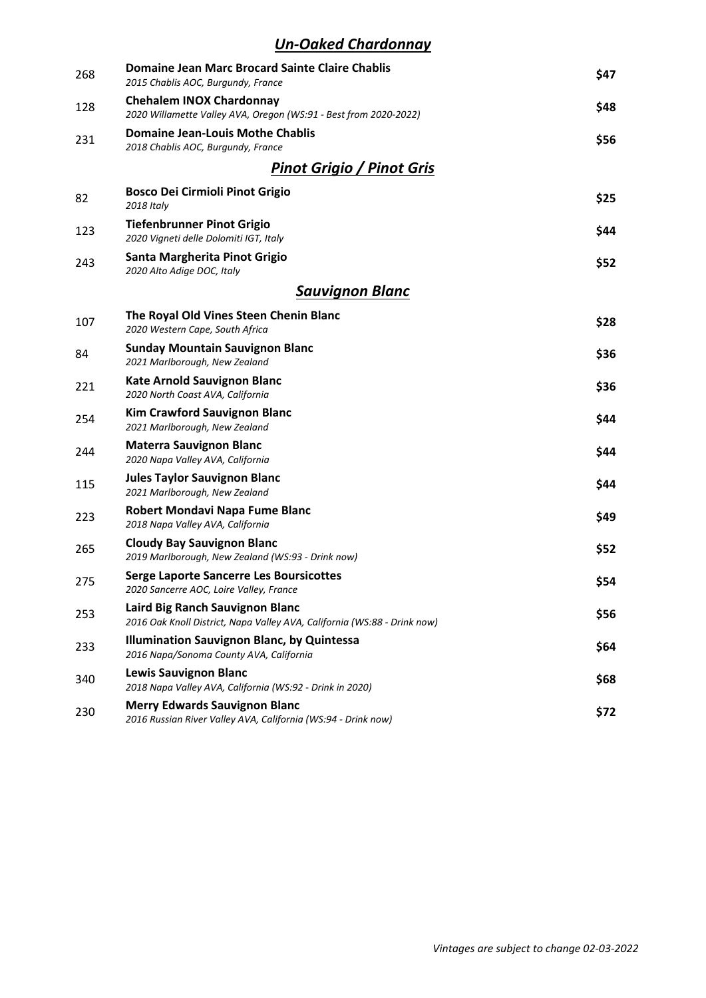#### *Un-Oaked Chardonnay*

| 268 | <b>Domaine Jean Marc Brocard Sainte Claire Chablis</b><br>2015 Chablis AOC, Burgundy, France                | \$47 |
|-----|-------------------------------------------------------------------------------------------------------------|------|
| 128 | <b>Chehalem INOX Chardonnay</b><br>2020 Willamette Valley AVA, Oregon (WS:91 - Best from 2020-2022)         | \$48 |
| 231 | <b>Domaine Jean-Louis Mothe Chablis</b><br>2018 Chablis AOC, Burgundy, France                               | \$56 |
|     | <b>Pinot Grigio / Pinot Gris</b>                                                                            |      |
| 82  | <b>Bosco Dei Cirmioli Pinot Grigio</b><br>2018 Italy                                                        | \$25 |
| 123 | <b>Tiefenbrunner Pinot Grigio</b><br>2020 Vigneti delle Dolomiti IGT, Italy                                 | \$44 |
| 243 | Santa Margherita Pinot Grigio<br>2020 Alto Adige DOC, Italy                                                 | \$52 |
|     | <b>Sauvignon Blanc</b>                                                                                      |      |
| 107 | The Royal Old Vines Steen Chenin Blanc<br>2020 Western Cape, South Africa                                   | \$28 |
| 84  | <b>Sunday Mountain Sauvignon Blanc</b><br>2021 Marlborough, New Zealand                                     | \$36 |
| 221 | <b>Kate Arnold Sauvignon Blanc</b><br>2020 North Coast AVA, California                                      | \$36 |
| 254 | <b>Kim Crawford Sauvignon Blanc</b><br>2021 Marlborough, New Zealand                                        | \$44 |
| 244 | <b>Materra Sauvignon Blanc</b><br>2020 Napa Valley AVA, California                                          | \$44 |
| 115 | <b>Jules Taylor Sauvignon Blanc</b><br>2021 Marlborough, New Zealand                                        | \$44 |
| 223 | Robert Mondavi Napa Fume Blanc<br>2018 Napa Valley AVA, California                                          | \$49 |
| 265 | <b>Cloudy Bay Sauvignon Blanc</b><br>2019 Marlborough, New Zealand (WS:93 - Drink now)                      | \$52 |
| 275 | <b>Serge Laporte Sancerre Les Boursicottes</b><br>2020 Sancerre AOC, Loire Valley, France                   | \$54 |
| 253 | Laird Big Ranch Sauvignon Blanc<br>2016 Oak Knoll District, Napa Valley AVA, California (WS:88 - Drink now) | \$56 |
| 233 | <b>Illumination Sauvignon Blanc, by Quintessa</b><br>2016 Napa/Sonoma County AVA, California                | \$64 |
| 340 | <b>Lewis Sauvignon Blanc</b><br>2018 Napa Valley AVA, California (WS:92 - Drink in 2020)                    | \$68 |
| 230 | <b>Merry Edwards Sauvignon Blanc</b><br>2016 Russian River Valley AVA, California (WS:94 - Drink now)       | \$72 |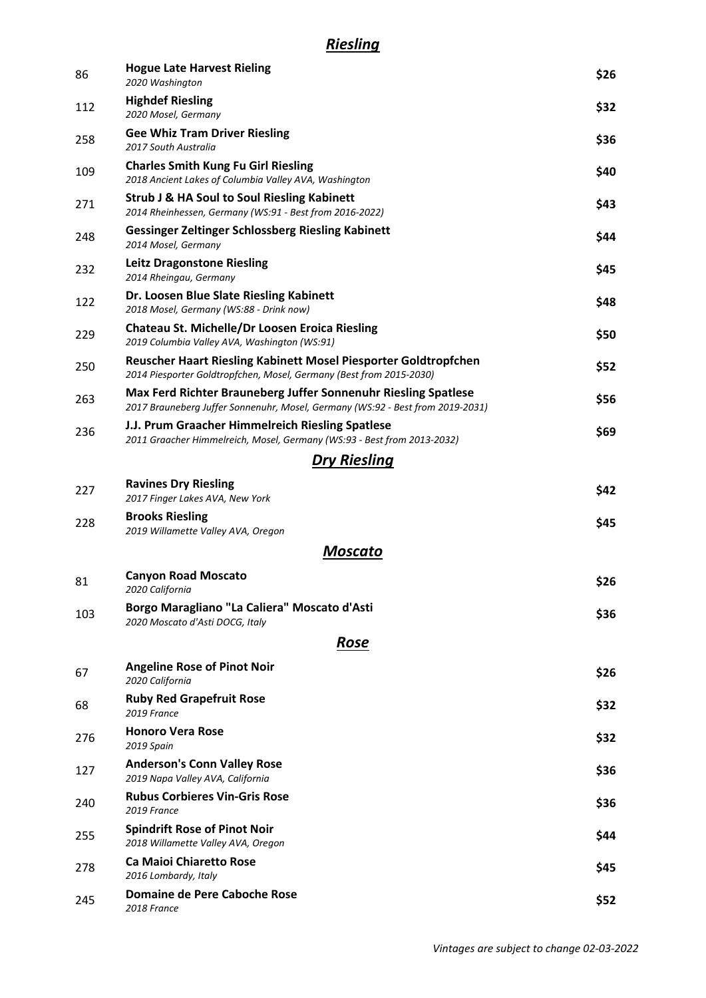#### *Riesling*

| 86  | <b>Hogue Late Harvest Rieling</b><br>2020 Washington                                                                                             | \$26 |
|-----|--------------------------------------------------------------------------------------------------------------------------------------------------|------|
| 112 | <b>Highdef Riesling</b><br>2020 Mosel, Germany                                                                                                   | \$32 |
| 258 | <b>Gee Whiz Tram Driver Riesling</b><br>2017 South Australia                                                                                     | \$36 |
| 109 | <b>Charles Smith Kung Fu Girl Riesling</b><br>2018 Ancient Lakes of Columbia Valley AVA, Washington                                              | \$40 |
| 271 | <b>Strub J &amp; HA Soul to Soul Riesling Kabinett</b><br>2014 Rheinhessen, Germany (WS:91 - Best from 2016-2022)                                | \$43 |
| 248 | <b>Gessinger Zeltinger Schlossberg Riesling Kabinett</b><br>2014 Mosel, Germany                                                                  | \$44 |
| 232 | <b>Leitz Dragonstone Riesling</b><br>2014 Rheingau, Germany                                                                                      | \$45 |
| 122 | Dr. Loosen Blue Slate Riesling Kabinett<br>2018 Mosel, Germany (WS:88 - Drink now)                                                               | \$48 |
| 229 | <b>Chateau St. Michelle/Dr Loosen Eroica Riesling</b><br>2019 Columbia Valley AVA, Washington (WS:91)                                            | \$50 |
| 250 | Reuscher Haart Riesling Kabinett Mosel Piesporter Goldtropfchen<br>2014 Piesporter Goldtropfchen, Mosel, Germany (Best from 2015-2030)           | \$52 |
| 263 | Max Ferd Richter Brauneberg Juffer Sonnenuhr Riesling Spatlese<br>2017 Brauneberg Juffer Sonnenuhr, Mosel, Germany (WS:92 - Best from 2019-2031) | \$56 |
| 236 | J.J. Prum Graacher Himmelreich Riesling Spatlese<br>2011 Graacher Himmelreich, Mosel, Germany (WS:93 - Best from 2013-2032)                      | \$69 |
|     | <b>Dry Riesling</b>                                                                                                                              |      |
| 227 | <b>Ravines Dry Riesling</b><br>2017 Finger Lakes AVA, New York                                                                                   | \$42 |
| 228 | <b>Brooks Riesling</b><br>2019 Willamette Valley AVA, Oregon                                                                                     | \$45 |
|     | Moscato                                                                                                                                          |      |
| 81  | <b>Canyon Road Moscato</b><br>2020 California                                                                                                    | \$26 |
| 103 | Borgo Maragliano "La Caliera" Moscato d'Asti<br>2020 Moscato d'Asti DOCG, Italy                                                                  | \$36 |
|     | Rose                                                                                                                                             |      |
| 67  | <b>Angeline Rose of Pinot Noir</b><br>2020 California                                                                                            | \$26 |
| 68  | <b>Ruby Red Grapefruit Rose</b><br>2019 France                                                                                                   | \$32 |
| 276 | <b>Honoro Vera Rose</b><br>2019 Spain                                                                                                            | \$32 |
| 127 | <b>Anderson's Conn Valley Rose</b><br>2019 Napa Valley AVA, California                                                                           | \$36 |
| 240 | <b>Rubus Corbieres Vin-Gris Rose</b><br>2019 France                                                                                              | \$36 |
| 255 | <b>Spindrift Rose of Pinot Noir</b><br>2018 Willamette Valley AVA, Oregon                                                                        | \$44 |
| 278 | <b>Ca Maioi Chiaretto Rose</b><br>2016 Lombardy, Italy                                                                                           | \$45 |
| 245 | Domaine de Pere Caboche Rose<br>2018 France                                                                                                      | \$52 |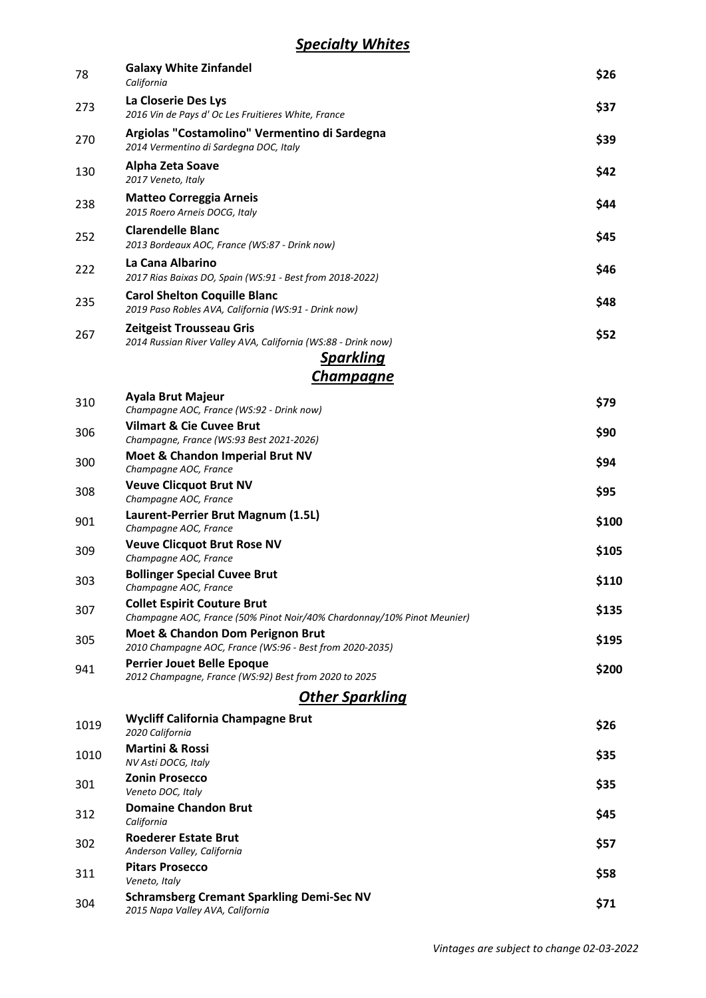| 78   | <b>Galaxy White Zinfandel</b><br>California                                                                   | \$26  |
|------|---------------------------------------------------------------------------------------------------------------|-------|
| 273  | La Closerie Des Lys<br>2016 Vin de Pays d' Oc Les Fruitieres White, France                                    | \$37  |
| 270  | Argiolas "Costamolino" Vermentino di Sardegna<br>2014 Vermentino di Sardegna DOC, Italy                       | \$39  |
| 130  | Alpha Zeta Soave<br>2017 Veneto, Italy                                                                        | \$42  |
| 238  | <b>Matteo Correggia Arneis</b><br>2015 Roero Arneis DOCG, Italy                                               | \$44  |
| 252  | <b>Clarendelle Blanc</b><br>2013 Bordeaux AOC, France (WS:87 - Drink now)                                     | \$45  |
| 222  | La Cana Albarino<br>2017 Rias Baixas DO, Spain (WS:91 - Best from 2018-2022)                                  | \$46  |
| 235  | <b>Carol Shelton Coquille Blanc</b><br>2019 Paso Robles AVA, California (WS:91 - Drink now)                   | \$48  |
| 267  | Zeitgeist Trousseau Gris<br>2014 Russian River Valley AVA, California (WS:88 - Drink now)                     | \$52  |
|      | <u>Sparkling</u>                                                                                              |       |
|      | Champagne                                                                                                     |       |
| 310  | <b>Ayala Brut Majeur</b><br>Champagne AOC, France (WS:92 - Drink now)                                         | \$79  |
| 306  | <b>Vilmart &amp; Cie Cuvee Brut</b><br>Champagne, France (WS:93 Best 2021-2026)                               | \$90  |
| 300  | Moet & Chandon Imperial Brut NV<br>Champagne AOC, France                                                      | \$94  |
| 308  | <b>Veuve Clicquot Brut NV</b><br>Champagne AOC, France                                                        | \$95  |
| 901  | Laurent-Perrier Brut Magnum (1.5L)<br>Champagne AOC, France                                                   | \$100 |
| 309  | <b>Veuve Clicquot Brut Rose NV</b><br>Champagne AOC, France                                                   | \$105 |
| 303  | <b>Bollinger Special Cuvee Brut</b><br>Champagne AOC, France                                                  | \$110 |
| 307  | <b>Collet Espirit Couture Brut</b><br>Champagne AOC, France (50% Pinot Noir/40% Chardonnay/10% Pinot Meunier) | \$135 |
| 305  | <b>Moet &amp; Chandon Dom Perignon Brut</b><br>2010 Champagne AOC, France (WS:96 - Best from 2020-2035)       | \$195 |
| 941  | <b>Perrier Jouet Belle Epoque</b><br>2012 Champagne, France (WS:92) Best from 2020 to 2025                    | \$200 |
|      | <u> Other Sparkling</u>                                                                                       |       |
| 1019 | <b>Wycliff California Champagne Brut</b><br>2020 California                                                   | \$26  |
| 1010 | <b>Martini &amp; Rossi</b><br>NV Asti DOCG, Italy                                                             | \$35  |
| 301  | <b>Zonin Prosecco</b><br>Veneto DOC, Italy                                                                    | \$35  |
| 312  | <b>Domaine Chandon Brut</b><br>California                                                                     | \$45  |
| 302  | <b>Roederer Estate Brut</b><br>Anderson Valley, California                                                    | \$57  |
| 311  | <b>Pitars Prosecco</b><br>Veneto, Italy                                                                       | \$58  |
| 304  | <b>Schramsberg Cremant Sparkling Demi-Sec NV</b><br>2015 Napa Valley AVA, California                          | \$71  |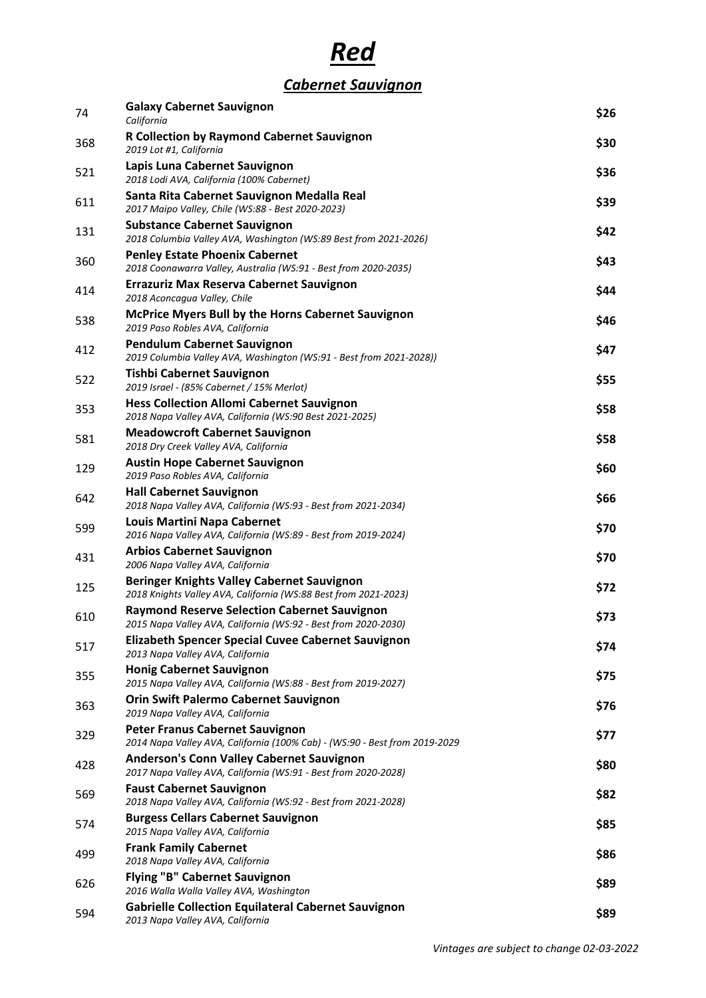# *Red*

## *Cabernet Sauvignon*

| 74  | <b>Galaxy Cabernet Sauvignon</b><br>California                                                                        | \$26 |
|-----|-----------------------------------------------------------------------------------------------------------------------|------|
| 368 | <b>R Collection by Raymond Cabernet Sauvignon</b><br>2019 Lot #1, California                                          | \$30 |
| 521 | Lapis Luna Cabernet Sauvignon<br>2018 Lodi AVA, California (100% Cabernet)                                            | \$36 |
| 611 | Santa Rita Cabernet Sauvignon Medalla Real<br>2017 Maipo Valley, Chile (WS:88 - Best 2020-2023)                       | \$39 |
| 131 | <b>Substance Cabernet Sauvignon</b><br>2018 Columbia Valley AVA, Washington (WS:89 Best from 2021-2026)               | \$42 |
| 360 | <b>Penley Estate Phoenix Cabernet</b><br>2018 Coonawarra Valley, Australia (WS:91 - Best from 2020-2035)              | \$43 |
| 414 | <b>Errazuriz Max Reserva Cabernet Sauvignon</b><br>2018 Aconcagua Valley, Chile                                       | \$44 |
| 538 | <b>McPrice Myers Bull by the Horns Cabernet Sauvignon</b><br>2019 Paso Robles AVA, California                         | \$46 |
| 412 | <b>Pendulum Cabernet Sauvignon</b><br>2019 Columbia Valley AVA, Washington (WS:91 - Best from 2021-2028))             | \$47 |
| 522 | <b>Tishbi Cabernet Sauvignon</b><br>2019 Israel - (85% Cabernet / 15% Merlot)                                         | \$55 |
| 353 | <b>Hess Collection Allomi Cabernet Sauvignon</b><br>2018 Napa Valley AVA, California (WS:90 Best 2021-2025)           | \$58 |
| 581 | <b>Meadowcroft Cabernet Sauvignon</b><br>2018 Dry Creek Valley AVA, California                                        | \$58 |
| 129 | <b>Austin Hope Cabernet Sauvignon</b><br>2019 Paso Robles AVA, California                                             | \$60 |
| 642 | <b>Hall Cabernet Sauvignon</b><br>2018 Napa Valley AVA, California (WS:93 - Best from 2021-2034)                      | \$66 |
| 599 | <b>Louis Martini Napa Cabernet</b><br>2016 Napa Valley AVA, California (WS:89 - Best from 2019-2024)                  | \$70 |
| 431 | <b>Arbios Cabernet Sauvignon</b><br>2006 Napa Valley AVA, California                                                  | \$70 |
| 125 | <b>Beringer Knights Valley Cabernet Sauvignon</b><br>2018 Knights Valley AVA, California (WS:88 Best from 2021-2023)  | \$72 |
| 610 | <b>Raymond Reserve Selection Cabernet Sauvignon</b><br>2015 Napa Valley AVA, California (WS:92 - Best from 2020-2030) | \$73 |
| 517 | <b>Elizabeth Spencer Special Cuvee Cabernet Sauvignon</b><br>2013 Napa Valley AVA, California                         | \$74 |
| 355 | <b>Honig Cabernet Sauvignon</b><br>2015 Napa Valley AVA, California (WS:88 - Best from 2019-2027)                     | \$75 |
| 363 | <b>Orin Swift Palermo Cabernet Sauvignon</b><br>2019 Napa Valley AVA, California                                      | \$76 |
| 329 | <b>Peter Franus Cabernet Sauvignon</b><br>2014 Napa Valley AVA, California (100% Cab) - (WS:90 - Best from 2019-2029  | \$77 |
| 428 | <b>Anderson's Conn Valley Cabernet Sauvignon</b><br>2017 Napa Valley AVA, California (WS:91 - Best from 2020-2028)    | \$80 |
| 569 | <b>Faust Cabernet Sauvignon</b><br>2018 Napa Valley AVA, California (WS:92 - Best from 2021-2028)                     | \$82 |
| 574 | <b>Burgess Cellars Cabernet Sauvignon</b><br>2015 Napa Valley AVA, California                                         | \$85 |
| 499 | <b>Frank Family Cabernet</b><br>2018 Napa Valley AVA, California                                                      | \$86 |
| 626 | <b>Flying "B" Cabernet Sauvignon</b><br>2016 Walla Walla Valley AVA, Washington                                       | \$89 |
| 594 | <b>Gabrielle Collection Equilateral Cabernet Sauvignon</b><br>2013 Napa Valley AVA, California                        | \$89 |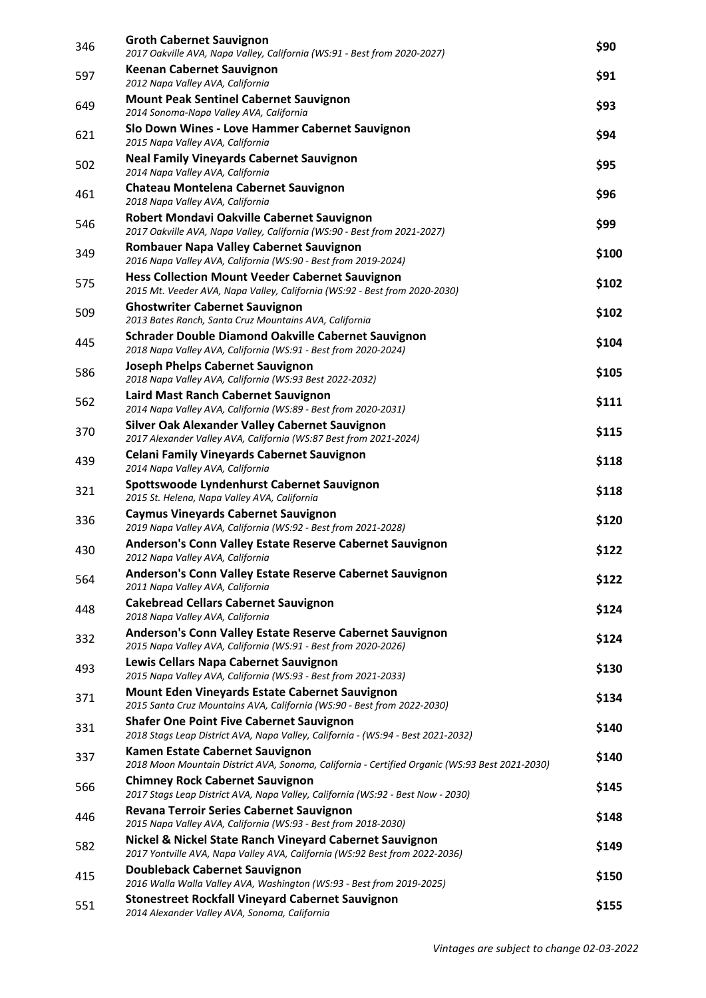| 346 | <b>Groth Cabernet Sauvignon</b><br>2017 Oakville AVA, Napa Valley, California (WS:91 - Best from 2020-2027)                            | \$90  |
|-----|----------------------------------------------------------------------------------------------------------------------------------------|-------|
| 597 | <b>Keenan Cabernet Sauvignon</b><br>2012 Napa Valley AVA, California                                                                   | \$91  |
| 649 | <b>Mount Peak Sentinel Cabernet Sauvignon</b><br>2014 Sonoma-Napa Valley AVA, California                                               | \$93  |
| 621 | Slo Down Wines - Love Hammer Cabernet Sauvignon<br>2015 Napa Valley AVA, California                                                    | \$94  |
| 502 | <b>Neal Family Vineyards Cabernet Sauvignon</b><br>2014 Napa Valley AVA, California                                                    | \$95  |
| 461 | Chateau Montelena Cabernet Sauvignon<br>2018 Napa Valley AVA, California                                                               | \$96  |
| 546 | Robert Mondavi Oakville Cabernet Sauvignon<br>2017 Oakville AVA, Napa Valley, California (WS:90 - Best from 2021-2027)                 | \$99  |
| 349 | Rombauer Napa Valley Cabernet Sauvignon<br>2016 Napa Valley AVA, California (WS:90 - Best from 2019-2024)                              | \$100 |
| 575 | <b>Hess Collection Mount Veeder Cabernet Sauvignon</b><br>2015 Mt. Veeder AVA, Napa Valley, California (WS:92 - Best from 2020-2030)   | \$102 |
| 509 | <b>Ghostwriter Cabernet Sauvignon</b><br>2013 Bates Ranch, Santa Cruz Mountains AVA, California                                        | \$102 |
| 445 | Schrader Double Diamond Oakville Cabernet Sauvignon<br>2018 Napa Valley AVA, California (WS:91 - Best from 2020-2024)                  | \$104 |
| 586 | <b>Joseph Phelps Cabernet Sauvignon</b><br>2018 Napa Valley AVA, California (WS:93 Best 2022-2032)                                     | \$105 |
| 562 | Laird Mast Ranch Cabernet Sauvignon<br>2014 Napa Valley AVA, California (WS:89 - Best from 2020-2031)                                  | \$111 |
| 370 | Silver Oak Alexander Valley Cabernet Sauvignon<br>2017 Alexander Valley AVA, California (WS:87 Best from 2021-2024)                    | \$115 |
| 439 | <b>Celani Family Vineyards Cabernet Sauvignon</b><br>2014 Napa Valley AVA, California                                                  | \$118 |
| 321 | Spottswoode Lyndenhurst Cabernet Sauvignon<br>2015 St. Helena, Napa Valley AVA, California                                             | \$118 |
| 336 | <b>Caymus Vineyards Cabernet Sauvignon</b><br>2019 Napa Valley AVA, California (WS:92 - Best from 2021-2028)                           | \$120 |
| 430 | Anderson's Conn Valley Estate Reserve Cabernet Sauvignon<br>2012 Napa Valley AVA, California                                           | \$122 |
| 564 | Anderson's Conn Valley Estate Reserve Cabernet Sauvignon<br>2011 Napa Valley AVA, California                                           | \$122 |
| 448 | <b>Cakebread Cellars Cabernet Sauvignon</b><br>2018 Napa Valley AVA, California                                                        | \$124 |
| 332 | Anderson's Conn Valley Estate Reserve Cabernet Sauvignon<br>2015 Napa Valley AVA, California (WS:91 - Best from 2020-2026)             | \$124 |
| 493 | Lewis Cellars Napa Cabernet Sauvignon<br>2015 Napa Valley AVA, California (WS:93 - Best from 2021-2033)                                | \$130 |
| 371 | <b>Mount Eden Vineyards Estate Cabernet Sauvignon</b><br>2015 Santa Cruz Mountains AVA, California (WS:90 - Best from 2022-2030)       | \$134 |
| 331 | <b>Shafer One Point Five Cabernet Sauvignon</b><br>2018 Stags Leap District AVA, Napa Valley, California - (WS:94 - Best 2021-2032)    | \$140 |
| 337 | Kamen Estate Cabernet Sauvignon<br>2018 Moon Mountain District AVA, Sonoma, California - Certified Organic (WS:93 Best 2021-2030)      | \$140 |
| 566 | <b>Chimney Rock Cabernet Sauvignon</b><br>2017 Stags Leap District AVA, Napa Valley, California (WS:92 - Best Now - 2030)              | \$145 |
| 446 | Revana Terroir Series Cabernet Sauvignon<br>2015 Napa Valley AVA, California (WS:93 - Best from 2018-2030)                             | \$148 |
| 582 | Nickel & Nickel State Ranch Vineyard Cabernet Sauvignon<br>2017 Yontville AVA, Napa Valley AVA, California (WS:92 Best from 2022-2036) | \$149 |
| 415 | <b>Doubleback Cabernet Sauvignon</b><br>2016 Walla Walla Valley AVA, Washington (WS:93 - Best from 2019-2025)                          | \$150 |
| 551 | <b>Stonestreet Rockfall Vineyard Cabernet Sauvignon</b><br>2014 Alexander Valley AVA, Sonoma, California                               | \$155 |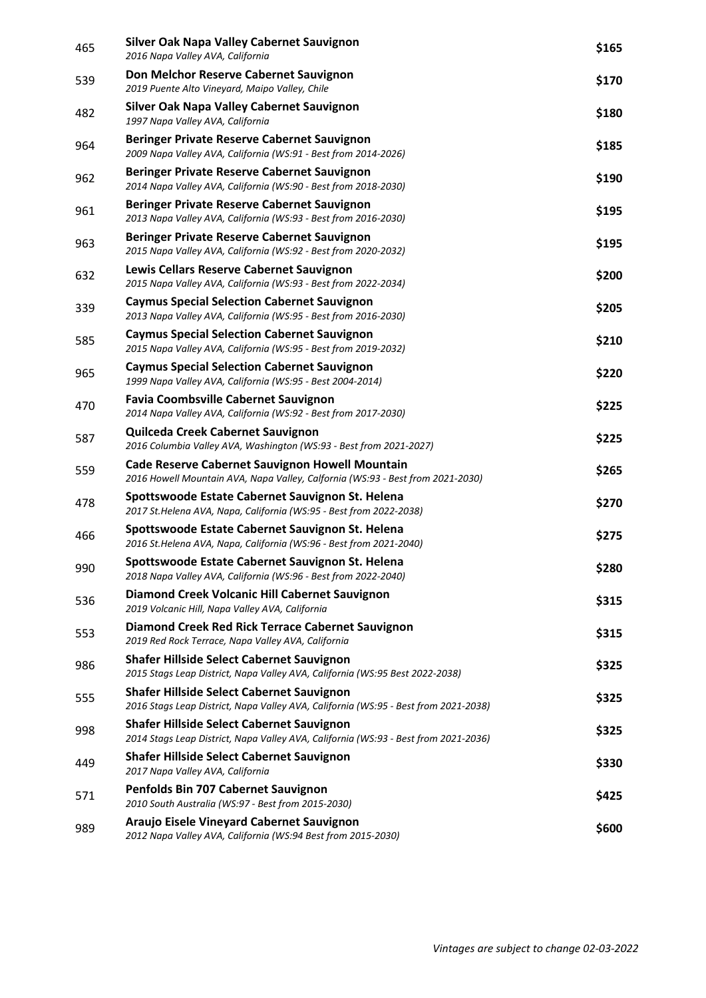| 465 | <b>Silver Oak Napa Valley Cabernet Sauvignon</b><br>2016 Napa Valley AVA, California                                                     | \$165 |
|-----|------------------------------------------------------------------------------------------------------------------------------------------|-------|
| 539 | Don Melchor Reserve Cabernet Sauvignon<br>2019 Puente Alto Vineyard, Maipo Valley, Chile                                                 | \$170 |
| 482 | <b>Silver Oak Napa Valley Cabernet Sauvignon</b><br>1997 Napa Valley AVA, California                                                     | \$180 |
| 964 | Beringer Private Reserve Cabernet Sauvignon<br>2009 Napa Valley AVA, California (WS:91 - Best from 2014-2026)                            | \$185 |
| 962 | Beringer Private Reserve Cabernet Sauvignon<br>2014 Napa Valley AVA, California (WS:90 - Best from 2018-2030)                            | \$190 |
| 961 | Beringer Private Reserve Cabernet Sauvignon<br>2013 Napa Valley AVA, California (WS:93 - Best from 2016-2030)                            | \$195 |
| 963 | Beringer Private Reserve Cabernet Sauvignon<br>2015 Napa Valley AVA, California (WS:92 - Best from 2020-2032)                            | \$195 |
| 632 | Lewis Cellars Reserve Cabernet Sauvignon<br>2015 Napa Valley AVA, California (WS:93 - Best from 2022-2034)                               | \$200 |
| 339 | <b>Caymus Special Selection Cabernet Sauvignon</b><br>2013 Napa Valley AVA, California (WS:95 - Best from 2016-2030)                     | \$205 |
| 585 | <b>Caymus Special Selection Cabernet Sauvignon</b><br>2015 Napa Valley AVA, California (WS:95 - Best from 2019-2032)                     | \$210 |
| 965 | <b>Caymus Special Selection Cabernet Sauvignon</b><br>1999 Napa Valley AVA, California (WS:95 - Best 2004-2014)                          | \$220 |
| 470 | <b>Favia Coombsville Cabernet Sauvignon</b><br>2014 Napa Valley AVA, California (WS:92 - Best from 2017-2030)                            | \$225 |
| 587 | Quilceda Creek Cabernet Sauvignon<br>2016 Columbia Valley AVA, Washington (WS:93 - Best from 2021-2027)                                  | \$225 |
| 559 | <b>Cade Reserve Cabernet Sauvignon Howell Mountain</b><br>2016 Howell Mountain AVA, Napa Valley, Calfornia (WS:93 - Best from 2021-2030) | \$265 |
| 478 | Spottswoode Estate Cabernet Sauvignon St. Helena<br>2017 St.Helena AVA, Napa, California (WS:95 - Best from 2022-2038)                   | \$270 |
| 466 | Spottswoode Estate Cabernet Sauvignon St. Helena<br>2016 St.Helena AVA, Napa, California (WS:96 - Best from 2021-2040)                   | \$275 |
| 990 | Spottswoode Estate Cabernet Sauvignon St. Helena<br>2018 Napa Valley AVA, California (WS:96 - Best from 2022-2040)                       | \$280 |
| 536 | Diamond Creek Volcanic Hill Cabernet Sauvignon<br>2019 Volcanic Hill, Napa Valley AVA, California                                        | \$315 |
| 553 | Diamond Creek Red Rick Terrace Cabernet Sauvignon<br>2019 Red Rock Terrace, Napa Valley AVA, California                                  | \$315 |
| 986 | <b>Shafer Hillside Select Cabernet Sauvignon</b><br>2015 Stags Leap District, Napa Valley AVA, California (WS:95 Best 2022-2038)         | \$325 |
| 555 | <b>Shafer Hillside Select Cabernet Sauvignon</b><br>2016 Stags Leap District, Napa Valley AVA, California (WS:95 - Best from 2021-2038)  | \$325 |
| 998 | <b>Shafer Hillside Select Cabernet Sauvignon</b><br>2014 Stags Leap District, Napa Valley AVA, California (WS:93 - Best from 2021-2036)  | \$325 |
| 449 | <b>Shafer Hillside Select Cabernet Sauvignon</b><br>2017 Napa Valley AVA, California                                                     | \$330 |
| 571 | Penfolds Bin 707 Cabernet Sauvignon<br>2010 South Australia (WS:97 - Best from 2015-2030)                                                | \$425 |
| 989 | Araujo Eisele Vineyard Cabernet Sauvignon<br>2012 Napa Valley AVA, California (WS:94 Best from 2015-2030)                                | \$600 |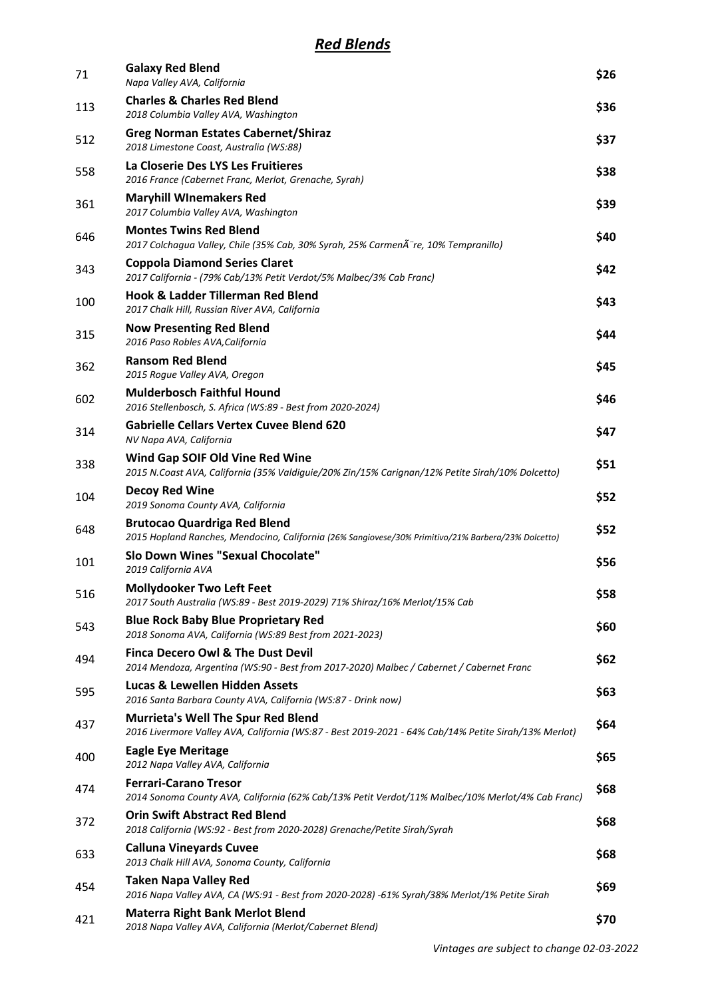| 71  | <b>Galaxy Red Blend</b><br>Napa Valley AVA, California                                                                                            | \$26 |
|-----|---------------------------------------------------------------------------------------------------------------------------------------------------|------|
| 113 | <b>Charles &amp; Charles Red Blend</b><br>2018 Columbia Valley AVA, Washington                                                                    | \$36 |
| 512 | <b>Greg Norman Estates Cabernet/Shiraz</b><br>2018 Limestone Coast, Australia (WS:88)                                                             | \$37 |
| 558 | La Closerie Des LYS Les Fruitieres<br>2016 France (Cabernet Franc, Merlot, Grenache, Syrah)                                                       | \$38 |
| 361 | <b>Maryhill WInemakers Red</b><br>2017 Columbia Valley AVA, Washington                                                                            | \$39 |
| 646 | <b>Montes Twins Red Blend</b><br>2017 Colchagua Valley, Chile (35% Cab, 30% Syrah, 25% Carmenà re, 10% Tempranillo)                               | \$40 |
| 343 | <b>Coppola Diamond Series Claret</b><br>2017 California - (79% Cab/13% Petit Verdot/5% Malbec/3% Cab Franc)                                       | \$42 |
| 100 | Hook & Ladder Tillerman Red Blend<br>2017 Chalk Hill, Russian River AVA, California                                                               | \$43 |
| 315 | <b>Now Presenting Red Blend</b><br>2016 Paso Robles AVA, California                                                                               | \$44 |
| 362 | <b>Ransom Red Blend</b><br>2015 Rogue Valley AVA, Oregon                                                                                          | \$45 |
| 602 | <b>Mulderbosch Faithful Hound</b><br>2016 Stellenbosch, S. Africa (WS:89 - Best from 2020-2024)                                                   | \$46 |
| 314 | <b>Gabrielle Cellars Vertex Cuvee Blend 620</b><br>NV Napa AVA, California                                                                        | \$47 |
| 338 | Wind Gap SOIF Old Vine Red Wine<br>2015 N.Coast AVA, California (35% Valdiguie/20% Zin/15% Carignan/12% Petite Sirah/10% Dolcetto)                | \$51 |
| 104 | <b>Decoy Red Wine</b><br>2019 Sonoma County AVA, California                                                                                       | \$52 |
| 648 | <b>Brutocao Quardriga Red Blend</b><br>2015 Hopland Ranches, Mendocino, California (26% Sangiovese/30% Primitivo/21% Barbera/23% Dolcetto)        | \$52 |
| 101 | <b>Slo Down Wines "Sexual Chocolate"</b><br>2019 California AVA                                                                                   | \$56 |
| 516 | <b>Mollydooker Two Left Feet</b><br>2017 South Australia (WS:89 - Best 2019-2029) 71% Shiraz/16% Merlot/15% Cab                                   | \$58 |
| 543 | <b>Blue Rock Baby Blue Proprietary Red</b><br>2018 Sonoma AVA, California (WS:89 Best from 2021-2023)                                             | \$60 |
| 494 | <b>Finca Decero Owl &amp; The Dust Devil</b><br>2014 Mendoza, Argentina (WS:90 - Best from 2017-2020) Malbec / Cabernet / Cabernet Franc          | \$62 |
| 595 | <b>Lucas &amp; Lewellen Hidden Assets</b><br>2016 Santa Barbara County AVA, California (WS:87 - Drink now)                                        | \$63 |
| 437 | <b>Murrieta's Well The Spur Red Blend</b><br>2016 Livermore Valley AVA, California (WS:87 - Best 2019-2021 - 64% Cab/14% Petite Sirah/13% Merlot) | \$64 |
| 400 | <b>Eagle Eye Meritage</b><br>2012 Napa Valley AVA, California                                                                                     | \$65 |
| 474 | <b>Ferrari-Carano Tresor</b><br>2014 Sonoma County AVA, California (62% Cab/13% Petit Verdot/11% Malbec/10% Merlot/4% Cab Franc)                  | \$68 |
| 372 | <b>Orin Swift Abstract Red Blend</b><br>2018 California (WS:92 - Best from 2020-2028) Grenache/Petite Sirah/Syrah                                 | \$68 |
| 633 | <b>Calluna Vineyards Cuvee</b><br>2013 Chalk Hill AVA, Sonoma County, California                                                                  | \$68 |
| 454 | <b>Taken Napa Valley Red</b><br>2016 Napa Valley AVA, CA (WS:91 - Best from 2020-2028) -61% Syrah/38% Merlot/1% Petite Sirah                      | \$69 |
| 421 | <b>Materra Right Bank Merlot Blend</b><br>2018 Napa Valley AVA, California (Merlot/Cabernet Blend)                                                | \$70 |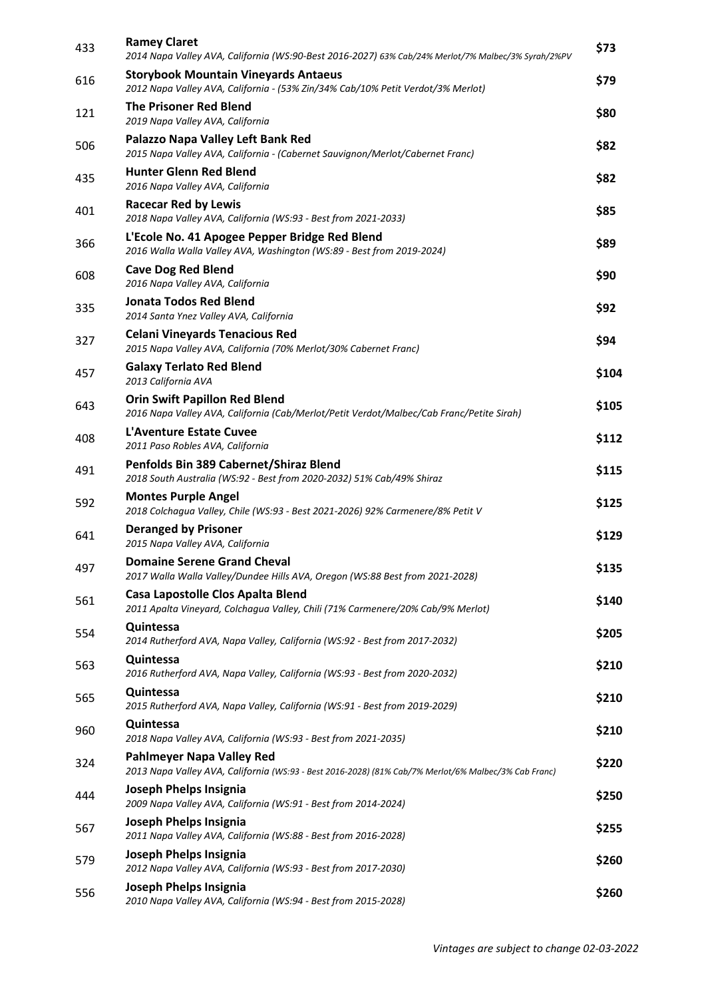| 433 | <b>Ramey Claret</b><br>2014 Napa Valley AVA, California (WS:90-Best 2016-2027) 63% Cab/24% Merlot/7% Malbec/3% Syrah/2%PV         | \$73  |
|-----|-----------------------------------------------------------------------------------------------------------------------------------|-------|
| 616 | <b>Storybook Mountain Vineyards Antaeus</b><br>2012 Napa Valley AVA, California - (53% Zin/34% Cab/10% Petit Verdot/3% Merlot)    | \$79  |
| 121 | <b>The Prisoner Red Blend</b><br>2019 Napa Valley AVA, California                                                                 | \$80  |
| 506 | Palazzo Napa Valley Left Bank Red<br>2015 Napa Valley AVA, California - (Cabernet Sauvignon/Merlot/Cabernet Franc)                | \$82  |
| 435 | <b>Hunter Glenn Red Blend</b><br>2016 Napa Valley AVA, California                                                                 | \$82  |
| 401 | <b>Racecar Red by Lewis</b><br>2018 Napa Valley AVA, California (WS:93 - Best from 2021-2033)                                     | \$85  |
| 366 | L'Ecole No. 41 Apogee Pepper Bridge Red Blend<br>2016 Walla Walla Valley AVA, Washington (WS:89 - Best from 2019-2024)            | \$89  |
| 608 | <b>Cave Dog Red Blend</b><br>2016 Napa Valley AVA, California                                                                     | \$90  |
| 335 | Jonata Todos Red Blend<br>2014 Santa Ynez Valley AVA, California                                                                  | \$92  |
| 327 | <b>Celani Vineyards Tenacious Red</b><br>2015 Napa Valley AVA, California (70% Merlot/30% Cabernet Franc)                         | \$94  |
| 457 | <b>Galaxy Terlato Red Blend</b><br>2013 California AVA                                                                            | \$104 |
| 643 | <b>Orin Swift Papillon Red Blend</b><br>2016 Napa Valley AVA, California (Cab/Merlot/Petit Verdot/Malbec/Cab Franc/Petite Sirah)  | \$105 |
| 408 | L'Aventure Estate Cuvee<br>2011 Paso Robles AVA, California                                                                       | \$112 |
| 491 | Penfolds Bin 389 Cabernet/Shiraz Blend<br>2018 South Australia (WS:92 - Best from 2020-2032) 51% Cab/49% Shiraz                   | \$115 |
| 592 | <b>Montes Purple Angel</b><br>2018 Colchagua Valley, Chile (WS:93 - Best 2021-2026) 92% Carmenere/8% Petit V                      | \$125 |
| 641 | <b>Deranged by Prisoner</b><br>2015 Napa Valley AVA, California                                                                   | \$129 |
| 497 | <b>Domaine Serene Grand Cheval</b><br>2017 Walla Walla Valley/Dundee Hills AVA, Oregon (WS:88 Best from 2021-2028)                | \$135 |
| 561 | Casa Lapostolle Clos Apalta Blend<br>2011 Apalta Vineyard, Colchagua Valley, Chili (71% Carmenere/20% Cab/9% Merlot)              | \$140 |
| 554 | <b>Quintessa</b><br>2014 Rutherford AVA, Napa Valley, California (WS:92 - Best from 2017-2032)                                    | \$205 |
| 563 | Quintessa<br>2016 Rutherford AVA, Napa Valley, California (WS:93 - Best from 2020-2032)                                           | \$210 |
| 565 | Quintessa<br>2015 Rutherford AVA, Napa Valley, California (WS:91 - Best from 2019-2029)                                           | \$210 |
| 960 | <b>Quintessa</b><br>2018 Napa Valley AVA, California (WS:93 - Best from 2021-2035)                                                | \$210 |
| 324 | Pahlmeyer Napa Valley Red<br>2013 Napa Valley AVA, California (WS:93 - Best 2016-2028) (81% Cab/7% Merlot/6% Malbec/3% Cab Franc) | \$220 |
| 444 | Joseph Phelps Insignia<br>2009 Napa Valley AVA, California (WS:91 - Best from 2014-2024)                                          | \$250 |
| 567 | Joseph Phelps Insignia<br>2011 Napa Valley AVA, California (WS:88 - Best from 2016-2028)                                          | \$255 |
| 579 | Joseph Phelps Insignia<br>2012 Napa Valley AVA, California (WS:93 - Best from 2017-2030)                                          | \$260 |
| 556 | Joseph Phelps Insignia<br>2010 Napa Valley AVA, California (WS:94 - Best from 2015-2028)                                          | \$260 |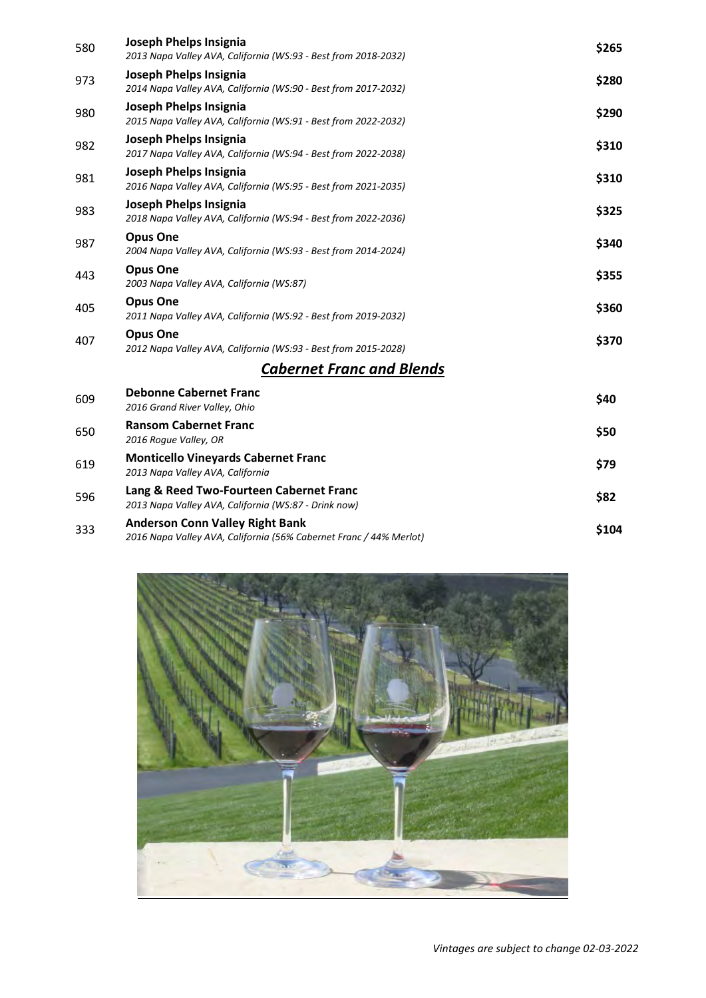| 580 | Joseph Phelps Insignia<br>2013 Napa Valley AVA, California (WS:93 - Best from 2018-2032) | \$265 |
|-----|------------------------------------------------------------------------------------------|-------|
| 973 | Joseph Phelps Insignia<br>2014 Napa Valley AVA, California (WS:90 - Best from 2017-2032) | \$280 |
| 980 | Joseph Phelps Insignia<br>2015 Napa Valley AVA, California (WS:91 - Best from 2022-2032) | \$290 |
| 982 | Joseph Phelps Insignia<br>2017 Napa Valley AVA, California (WS:94 - Best from 2022-2038) | \$310 |
| 981 | Joseph Phelps Insignia<br>2016 Napa Valley AVA, California (WS:95 - Best from 2021-2035) | \$310 |
| 983 | Joseph Phelps Insignia<br>2018 Napa Valley AVA, California (WS:94 - Best from 2022-2036) | \$325 |
| 987 | <b>Opus One</b><br>2004 Napa Valley AVA, California (WS:93 - Best from 2014-2024)        | \$340 |
| 443 | <b>Opus One</b><br>2003 Napa Valley AVA, California (WS:87)                              | \$355 |
| 405 | <b>Opus One</b><br>2011 Napa Valley AVA, California (WS:92 - Best from 2019-2032)        | \$360 |
| 407 | <b>Opus One</b><br>2012 Napa Valley AVA, California (WS:93 - Best from 2015-2028)        | \$370 |
|     | <b>Cabernet Franc and Blends</b>                                                         |       |
| 609 | <b>Debonne Cabernet Franc</b><br>2016 Grand River Valley, Ohio                           | \$40  |
| 650 | <b>Ransom Cabernet Franc</b><br>2016 Roque Valley, OR                                    | \$50  |
| 619 | <b>Monticello Vineyards Cabernet Franc</b><br>$2012$ News Velley AVA, California         | \$79  |

| 619 | <u>IVIOIILICEIIU VIIIEVALUS CADEITIEL ITAIIL</u><br>2013 Napa Valley AVA, California                         | \$79  |
|-----|--------------------------------------------------------------------------------------------------------------|-------|
| 596 | Lang & Reed Two-Fourteen Cabernet Franc<br>2013 Napa Valley AVA, California (WS:87 - Drink now)              | \$82  |
| 333 | <b>Anderson Conn Valley Right Bank</b><br>2016 Napa Valley AVA, California (56% Cabernet Franc / 44% Merlot) | \$104 |



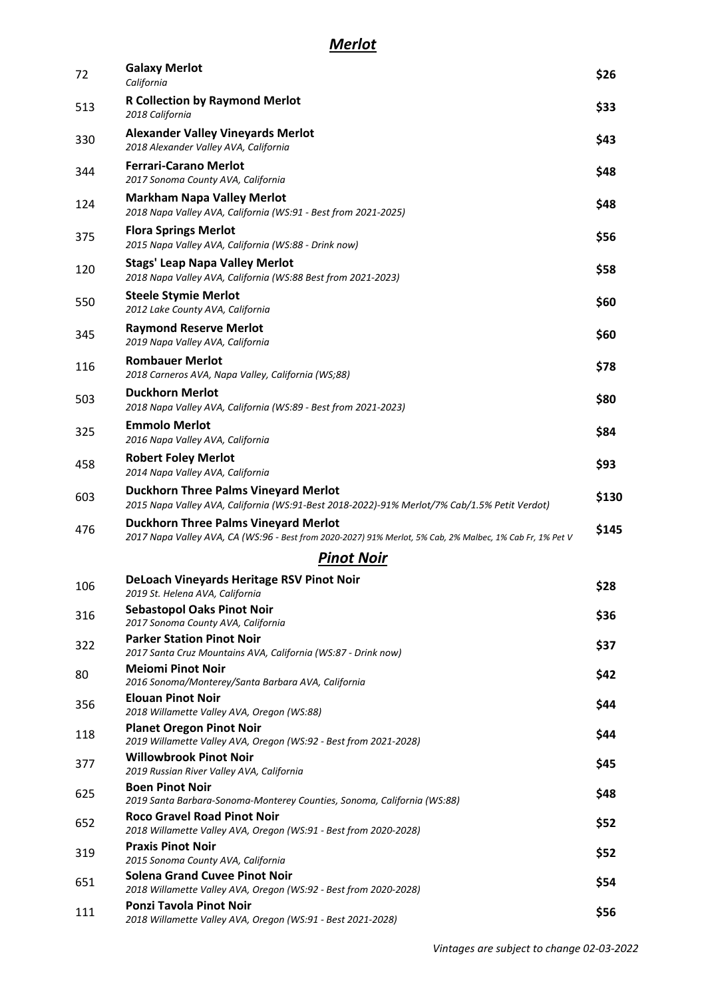| 72  | <b>Galaxy Merlot</b><br>California                                                                                                                       | \$26  |
|-----|----------------------------------------------------------------------------------------------------------------------------------------------------------|-------|
| 513 | <b>R Collection by Raymond Merlot</b><br>2018 California                                                                                                 | \$33  |
| 330 | <b>Alexander Valley Vineyards Merlot</b><br>2018 Alexander Valley AVA, California                                                                        | \$43  |
| 344 | <b>Ferrari-Carano Merlot</b><br>2017 Sonoma County AVA, California                                                                                       | \$48  |
| 124 | <b>Markham Napa Valley Merlot</b><br>2018 Napa Valley AVA, California (WS:91 - Best from 2021-2025)                                                      | \$48  |
| 375 | <b>Flora Springs Merlot</b><br>2015 Napa Valley AVA, California (WS:88 - Drink now)                                                                      | \$56  |
| 120 | <b>Stags' Leap Napa Valley Merlot</b><br>2018 Napa Valley AVA, California (WS:88 Best from 2021-2023)                                                    | \$58  |
| 550 | <b>Steele Stymie Merlot</b><br>2012 Lake County AVA, California                                                                                          | \$60  |
| 345 | <b>Raymond Reserve Merlot</b><br>2019 Napa Valley AVA, California                                                                                        | \$60  |
| 116 | <b>Rombauer Merlot</b><br>2018 Carneros AVA, Napa Valley, California (WS;88)                                                                             | \$78  |
| 503 | <b>Duckhorn Merlot</b><br>2018 Napa Valley AVA, California (WS:89 - Best from 2021-2023)                                                                 | \$80  |
| 325 | <b>Emmolo Merlot</b><br>2016 Napa Valley AVA, California                                                                                                 | \$84  |
| 458 | <b>Robert Foley Merlot</b><br>2014 Napa Valley AVA, California                                                                                           | \$93  |
| 603 | <b>Duckhorn Three Palms Vineyard Merlot</b><br>2015 Napa Valley AVA, California (WS:91-Best 2018-2022)-91% Merlot/7% Cab/1.5% Petit Verdot)              | \$130 |
| 476 | <b>Duckhorn Three Palms Vineyard Merlot</b><br>2017 Napa Valley AVA, CA (WS:96 - Best from 2020-2027) 91% Merlot, 5% Cab, 2% Malbec, 1% Cab Fr, 1% Pet V | \$145 |
|     | <b>Pinot Noir</b>                                                                                                                                        |       |
| 106 | DeLoach Vineyards Heritage RSV Pinot Noir<br>2019 St. Helena AVA, California                                                                             | \$28  |
| 316 | <b>Sebastopol Oaks Pinot Noir</b><br>2017 Sonoma County AVA, California                                                                                  | \$36  |
| 322 | <b>Parker Station Pinot Noir</b><br>2017 Santa Cruz Mountains AVA, California (WS:87 - Drink now)                                                        | \$37  |
| 80  | <b>Meiomi Pinot Noir</b><br>2016 Sonoma/Monterey/Santa Barbara AVA, California                                                                           | \$42  |
| 356 | <b>Elouan Pinot Noir</b><br>2018 Willamette Valley AVA, Oregon (WS:88)                                                                                   | \$44  |
| 118 | <b>Planet Oregon Pinot Noir</b><br>2019 Willamette Valley AVA, Oregon (WS:92 - Best from 2021-2028)                                                      | \$44  |
| 377 | <b>Willowbrook Pinot Noir</b><br>2019 Russian River Valley AVA, California                                                                               | \$45  |
| 625 | <b>Boen Pinot Noir</b><br>2019 Santa Barbara-Sonoma-Monterey Counties, Sonoma, California (WS:88)                                                        | \$48  |
| 652 | <b>Roco Gravel Road Pinot Noir</b><br>2018 Willamette Valley AVA, Oregon (WS:91 - Best from 2020-2028)                                                   | \$52  |
| 319 | <b>Praxis Pinot Noir</b><br>2015 Sonoma County AVA, California                                                                                           | \$52  |
| 651 | <b>Solena Grand Cuvee Pinot Noir</b><br>2018 Willamette Valley AVA, Oregon (WS:92 - Best from 2020-2028)                                                 | \$54  |
| 111 | Ponzi Tavola Pinot Noir<br>2018 Willamette Valley AVA, Oregon (WS:91 - Best 2021-2028)                                                                   | \$56  |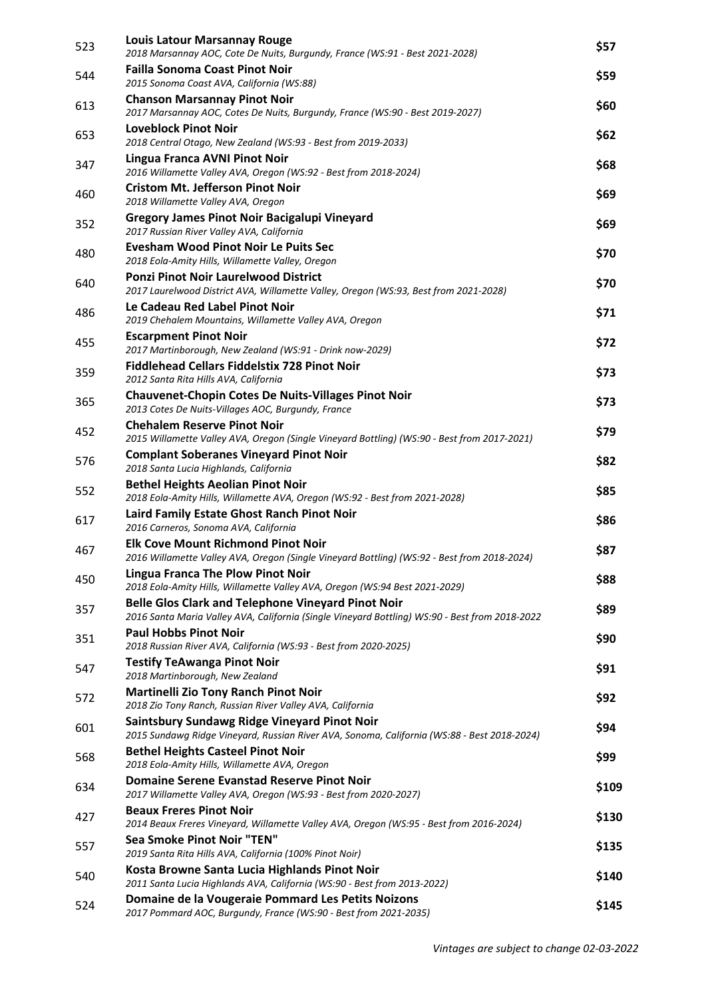| 523 | <b>Louis Latour Marsannay Rouge</b><br>2018 Marsannay AOC, Cote De Nuits, Burgundy, France (WS:91 - Best 2021-2028)                                         | \$57  |
|-----|-------------------------------------------------------------------------------------------------------------------------------------------------------------|-------|
| 544 | <b>Failla Sonoma Coast Pinot Noir</b><br>2015 Sonoma Coast AVA, California (WS:88)                                                                          | \$59  |
| 613 | <b>Chanson Marsannay Pinot Noir</b><br>2017 Marsannay AOC, Cotes De Nuits, Burgundy, France (WS:90 - Best 2019-2027)                                        | \$60  |
| 653 | <b>Loveblock Pinot Noir</b><br>2018 Central Otago, New Zealand (WS:93 - Best from 2019-2033)                                                                | \$62  |
| 347 | Lingua Franca AVNI Pinot Noir<br>2016 Willamette Valley AVA, Oregon (WS:92 - Best from 2018-2024)                                                           | \$68  |
| 460 | <b>Cristom Mt. Jefferson Pinot Noir</b><br>2018 Willamette Valley AVA, Oregon                                                                               | \$69  |
| 352 | Gregory James Pinot Noir Bacigalupi Vineyard<br>2017 Russian River Valley AVA, California                                                                   | \$69  |
| 480 | <b>Evesham Wood Pinot Noir Le Puits Sec</b><br>2018 Eola-Amity Hills, Willamette Valley, Oregon                                                             | \$70  |
| 640 | <b>Ponzi Pinot Noir Laurelwood District</b><br>2017 Laurelwood District AVA, Willamette Valley, Oregon (WS:93, Best from 2021-2028)                         | \$70  |
| 486 | Le Cadeau Red Label Pinot Noir<br>2019 Chehalem Mountains, Willamette Valley AVA, Oregon                                                                    | \$71  |
| 455 | <b>Escarpment Pinot Noir</b><br>2017 Martinborough, New Zealand (WS:91 - Drink now-2029)                                                                    | \$72  |
| 359 | <b>Fiddlehead Cellars Fiddelstix 728 Pinot Noir</b><br>2012 Santa Rita Hills AVA, California                                                                | \$73  |
| 365 | <b>Chauvenet-Chopin Cotes De Nuits-Villages Pinot Noir</b><br>2013 Cotes De Nuits-Villages AOC, Burgundy, France                                            | \$73  |
| 452 | <b>Chehalem Reserve Pinot Noir</b><br>2015 Willamette Valley AVA, Oregon (Single Vineyard Bottling) (WS:90 - Best from 2017-2021)                           | \$79  |
| 576 | <b>Complant Soberanes Vineyard Pinot Noir</b><br>2018 Santa Lucia Highlands, California                                                                     | \$82  |
| 552 | <b>Bethel Heights Aeolian Pinot Noir</b><br>2018 Eola-Amity Hills, Willamette AVA, Oregon (WS:92 - Best from 2021-2028)                                     | \$85  |
| 617 | Laird Family Estate Ghost Ranch Pinot Noir<br>2016 Carneros, Sonoma AVA, California                                                                         | \$86  |
| 467 | <b>Elk Cove Mount Richmond Pinot Noir</b><br>2016 Willamette Valley AVA, Oregon (Single Vineyard Bottling) (WS:92 - Best from 2018-2024)                    | \$87  |
| 450 | <b>Lingua Franca The Plow Pinot Noir</b><br>2018 Eola-Amity Hills, Willamette Valley AVA, Oregon (WS:94 Best 2021-2029)                                     | \$88  |
| 357 | <b>Belle Glos Clark and Telephone Vineyard Pinot Noir</b><br>2016 Santa Maria Valley AVA, California (Single Vineyard Bottling) WS:90 - Best from 2018-2022 | \$89  |
| 351 | <b>Paul Hobbs Pinot Noir</b><br>2018 Russian River AVA, California (WS:93 - Best from 2020-2025)                                                            | \$90  |
| 547 | <b>Testify TeAwanga Pinot Noir</b><br>2018 Martinborough, New Zealand                                                                                       | \$91  |
| 572 | <b>Martinelli Zio Tony Ranch Pinot Noir</b><br>2018 Zio Tony Ranch, Russian River Valley AVA, California                                                    | \$92  |
| 601 | <b>Saintsbury Sundawg Ridge Vineyard Pinot Noir</b><br>2015 Sundawg Ridge Vineyard, Russian River AVA, Sonoma, California (WS:88 - Best 2018-2024)          | \$94  |
| 568 | <b>Bethel Heights Casteel Pinot Noir</b><br>2018 Eola-Amity Hills, Willamette AVA, Oregon                                                                   | \$99  |
| 634 | <b>Domaine Serene Evanstad Reserve Pinot Noir</b><br>2017 Willamette Valley AVA, Oregon (WS:93 - Best from 2020-2027)                                       | \$109 |
| 427 | <b>Beaux Freres Pinot Noir</b><br>2014 Beaux Freres Vineyard, Willamette Valley AVA, Oregon (WS:95 - Best from 2016-2024)                                   | \$130 |
| 557 | <b>Sea Smoke Pinot Noir "TEN"</b><br>2019 Santa Rita Hills AVA, California (100% Pinot Noir)                                                                | \$135 |
| 540 | Kosta Browne Santa Lucia Highlands Pinot Noir<br>2011 Santa Lucia Highlands AVA, California (WS:90 - Best from 2013-2022)                                   | \$140 |
| 524 | Domaine de la Vougeraie Pommard Les Petits Noizons<br>2017 Pommard AOC, Burgundy, France (WS:90 - Best from 2021-2035)                                      | \$145 |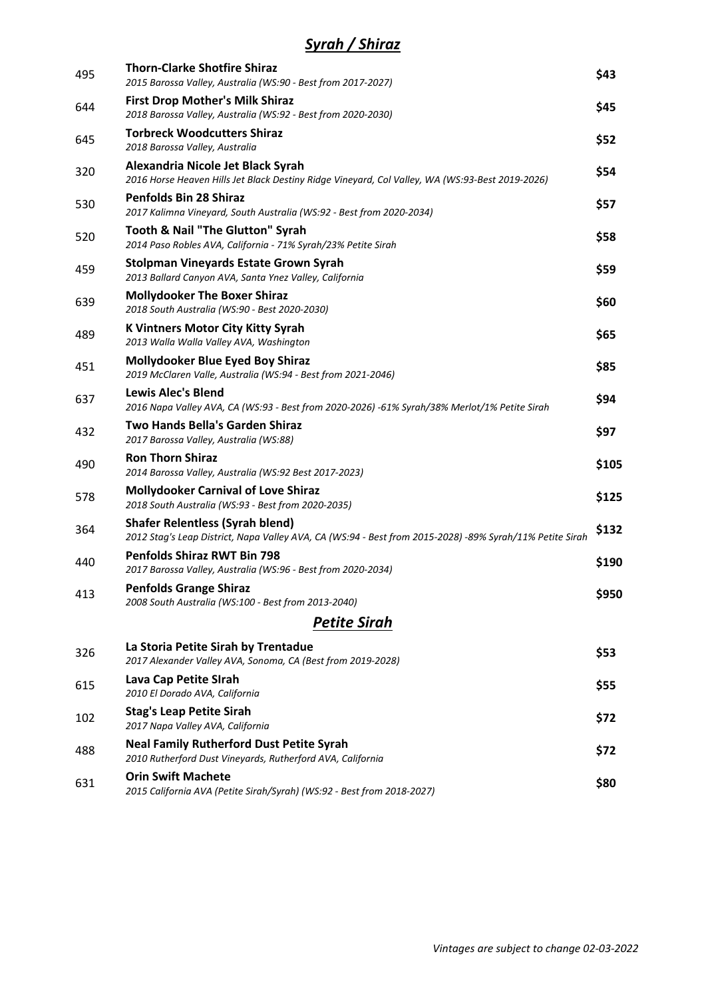## *Syrah / Shiraz*

| 495 | <b>Thorn-Clarke Shotfire Shiraz</b><br>2015 Barossa Valley, Australia (WS:90 - Best from 2017-2027)                                                | \$43  |
|-----|----------------------------------------------------------------------------------------------------------------------------------------------------|-------|
| 644 | <b>First Drop Mother's Milk Shiraz</b><br>2018 Barossa Valley, Australia (WS:92 - Best from 2020-2030)                                             | \$45  |
| 645 | <b>Torbreck Woodcutters Shiraz</b><br>2018 Barossa Valley, Australia                                                                               | \$52  |
| 320 | Alexandria Nicole Jet Black Syrah<br>2016 Horse Heaven Hills Jet Black Destiny Ridge Vineyard, Col Valley, WA (WS:93-Best 2019-2026)               | \$54  |
| 530 | <b>Penfolds Bin 28 Shiraz</b><br>2017 Kalimna Vineyard, South Australia (WS:92 - Best from 2020-2034)                                              | \$57  |
| 520 | <b>Tooth &amp; Nail "The Glutton" Syrah</b><br>2014 Paso Robles AVA, California - 71% Syrah/23% Petite Sirah                                       | \$58  |
| 459 | <b>Stolpman Vineyards Estate Grown Syrah</b><br>2013 Ballard Canyon AVA, Santa Ynez Valley, California                                             | \$59  |
| 639 | <b>Mollydooker The Boxer Shiraz</b><br>2018 South Australia (WS:90 - Best 2020-2030)                                                               | \$60  |
| 489 | <b>K Vintners Motor City Kitty Syrah</b><br>2013 Walla Walla Valley AVA, Washington                                                                | \$65  |
| 451 | <b>Mollydooker Blue Eyed Boy Shiraz</b><br>2019 McClaren Valle, Australia (WS:94 - Best from 2021-2046)                                            | \$85  |
| 637 | <b>Lewis Alec's Blend</b><br>2016 Napa Valley AVA, CA (WS:93 - Best from 2020-2026) -61% Syrah/38% Merlot/1% Petite Sirah                          | \$94  |
| 432 | <b>Two Hands Bella's Garden Shiraz</b><br>2017 Barossa Valley, Australia (WS:88)                                                                   | \$97  |
| 490 | <b>Ron Thorn Shiraz</b><br>2014 Barossa Valley, Australia (WS:92 Best 2017-2023)                                                                   | \$105 |
| 578 | <b>Mollydooker Carnival of Love Shiraz</b><br>2018 South Australia (WS:93 - Best from 2020-2035)                                                   | \$125 |
| 364 | <b>Shafer Relentless (Syrah blend)</b><br>2012 Stag's Leap District, Napa Valley AVA, CA (WS:94 - Best from 2015-2028) -89% Syrah/11% Petite Sirah | \$132 |
| 440 | <b>Penfolds Shiraz RWT Bin 798</b><br>2017 Barossa Valley, Australia (WS:96 - Best from 2020-2034)                                                 | \$190 |
| 413 | <b>Penfolds Grange Shiraz</b><br>2008 South Australia (WS:100 - Best from 2013-2040)                                                               | \$950 |
|     | <b>Petite Sirah</b>                                                                                                                                |       |
| 326 | La Storia Petite Sirah by Trentadue<br>2017 Alexander Valley AVA, Sonoma, CA (Best from 2019-2028)                                                 | \$53  |
| 615 | Lava Cap Petite SIrah<br>2010 El Dorado AVA, California                                                                                            | \$55  |
| 102 | <b>Stag's Leap Petite Sirah</b><br>2017 Napa Valley AVA, California                                                                                | \$72  |
| 488 | <b>Neal Family Rutherford Dust Petite Syrah</b><br>2010 Rutherford Dust Vineyards, Rutherford AVA, California                                      | \$72  |
| 631 | <b>Orin Swift Machete</b><br>2015 California AVA (Petite Sirah/Syrah) (WS:92 - Best from 2018-2027)                                                | \$80  |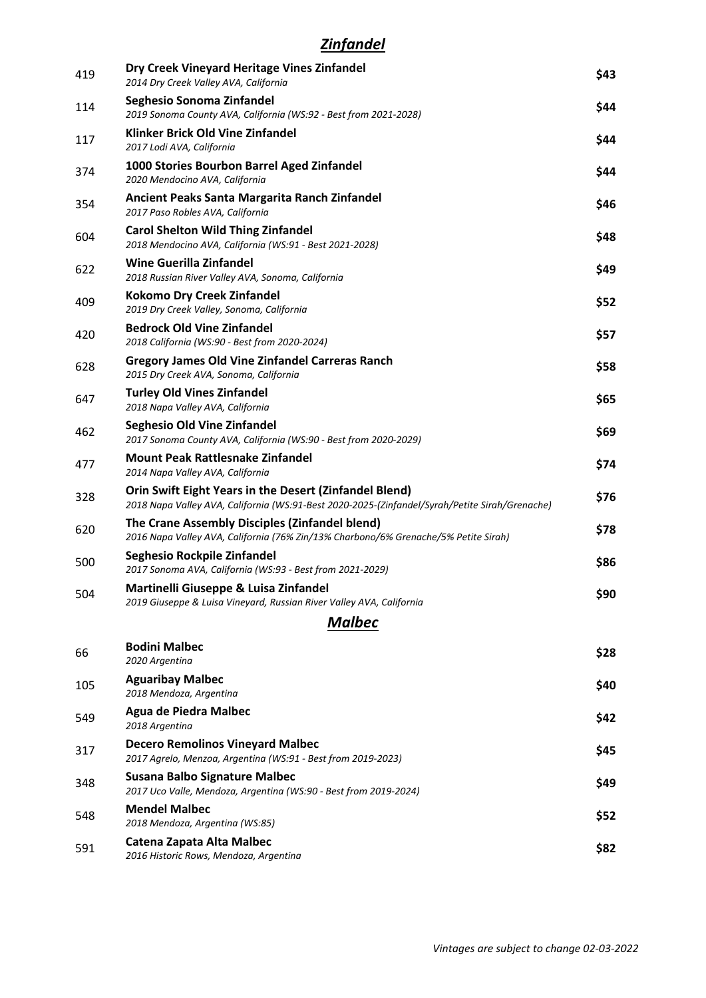## *Zinfandel*

| 419 | Dry Creek Vineyard Heritage Vines Zinfandel<br>2014 Dry Creek Valley AVA, California                                                                     | \$43 |
|-----|----------------------------------------------------------------------------------------------------------------------------------------------------------|------|
| 114 | Seghesio Sonoma Zinfandel<br>2019 Sonoma County AVA, California (WS:92 - Best from 2021-2028)                                                            | \$44 |
| 117 | Klinker Brick Old Vine Zinfandel<br>2017 Lodi AVA, California                                                                                            | \$44 |
| 374 | 1000 Stories Bourbon Barrel Aged Zinfandel<br>2020 Mendocino AVA, California                                                                             | \$44 |
| 354 | Ancient Peaks Santa Margarita Ranch Zinfandel<br>2017 Paso Robles AVA, California                                                                        | \$46 |
| 604 | <b>Carol Shelton Wild Thing Zinfandel</b><br>2018 Mendocino AVA, California (WS:91 - Best 2021-2028)                                                     | \$48 |
| 622 | <b>Wine Guerilla Zinfandel</b><br>2018 Russian River Valley AVA, Sonoma, California                                                                      | \$49 |
| 409 | <b>Kokomo Dry Creek Zinfandel</b><br>2019 Dry Creek Valley, Sonoma, California                                                                           | \$52 |
| 420 | <b>Bedrock Old Vine Zinfandel</b><br>2018 California (WS:90 - Best from 2020-2024)                                                                       | \$57 |
| 628 | <b>Gregory James Old Vine Zinfandel Carreras Ranch</b><br>2015 Dry Creek AVA, Sonoma, California                                                         | \$58 |
| 647 | <b>Turley Old Vines Zinfandel</b><br>2018 Napa Valley AVA, California                                                                                    | \$65 |
| 462 | <b>Seghesio Old Vine Zinfandel</b><br>2017 Sonoma County AVA, California (WS:90 - Best from 2020-2029)                                                   | \$69 |
| 477 | <b>Mount Peak Rattlesnake Zinfandel</b><br>2014 Napa Valley AVA, California                                                                              | \$74 |
| 328 | Orin Swift Eight Years in the Desert (Zinfandel Blend)<br>2018 Napa Valley AVA, California (WS:91-Best 2020-2025-(Zinfandel/Syrah/Petite Sirah/Grenache) | \$76 |
| 620 | The Crane Assembly Disciples (Zinfandel blend)<br>2016 Napa Valley AVA, California (76% Zin/13% Charbono/6% Grenache/5% Petite Sirah)                    | \$78 |
| 500 | Seghesio Rockpile Zinfandel<br>2017 Sonoma AVA, California (WS:93 - Best from 2021-2029)                                                                 | \$86 |
| 504 | Martinelli Giuseppe & Luisa Zinfandel<br>2019 Giuseppe & Luisa Vineyard, Russian River Valley AVA, California                                            | \$90 |
|     | <b>Malbec</b>                                                                                                                                            |      |
| 66  | <b>Bodini Malbec</b><br>2020 Argentina                                                                                                                   | \$28 |
| 105 | <b>Aguaribay Malbec</b><br>2018 Mendoza, Argentina                                                                                                       | \$40 |
| 549 | <b>Agua de Piedra Malbec</b><br>2018 Argentina                                                                                                           | \$42 |
| 317 | <b>Decero Remolinos Vineyard Malbec</b><br>2017 Agrelo, Menzoa, Argentina (WS:91 - Best from 2019-2023)                                                  | \$45 |
| 348 | <b>Susana Balbo Signature Malbec</b><br>2017 Uco Valle, Mendoza, Argentina (WS:90 - Best from 2019-2024)                                                 | \$49 |
| 548 | <b>Mendel Malbec</b><br>2018 Mendoza, Argentina (WS:85)                                                                                                  | \$52 |
| 591 | Catena Zapata Alta Malbec<br>2016 Historic Rows, Mendoza, Argentina                                                                                      | \$82 |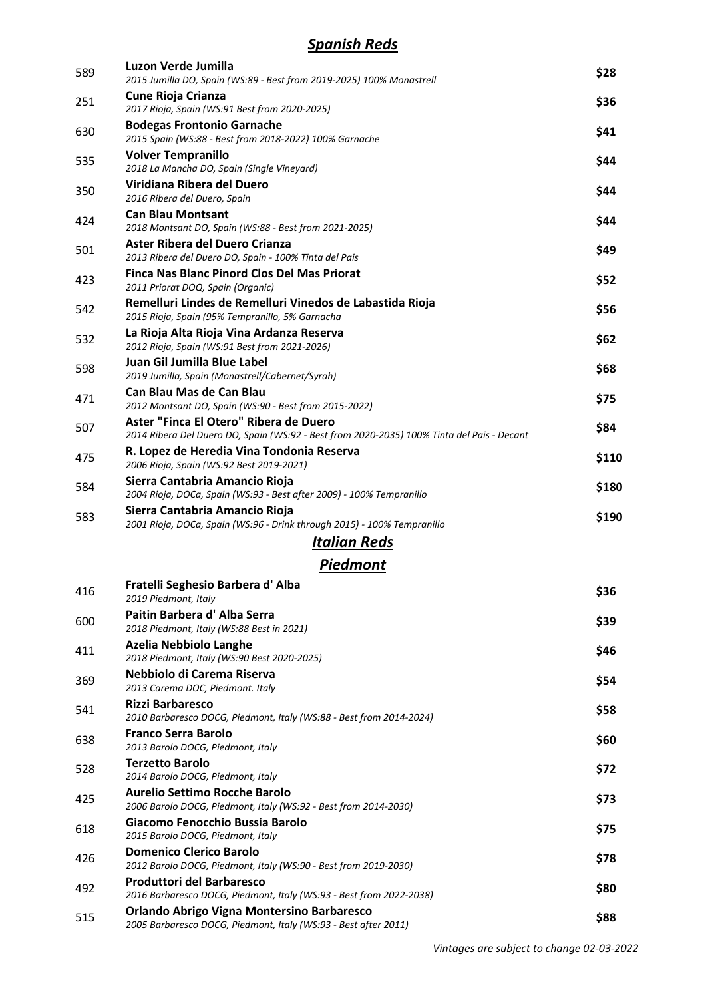#### *Spanish Reds*

| 589 | Luzon Verde Jumilla<br>2015 Jumilla DO, Spain (WS:89 - Best from 2019-2025) 100% Monastrell                                          | \$28  |
|-----|--------------------------------------------------------------------------------------------------------------------------------------|-------|
| 251 | <b>Cune Rioja Crianza</b><br>2017 Rioja, Spain (WS:91 Best from 2020-2025)                                                           | \$36  |
| 630 | <b>Bodegas Frontonio Garnache</b><br>2015 Spain (WS:88 - Best from 2018-2022) 100% Garnache                                          | \$41  |
| 535 | <b>Volver Tempranillo</b><br>2018 La Mancha DO, Spain (Single Vineyard)                                                              | \$44  |
| 350 | Viridiana Ribera del Duero<br>2016 Ribera del Duero, Spain                                                                           | \$44  |
| 424 | <b>Can Blau Montsant</b><br>2018 Montsant DO, Spain (WS:88 - Best from 2021-2025)                                                    | \$44  |
| 501 | Aster Ribera del Duero Crianza<br>2013 Ribera del Duero DO, Spain - 100% Tinta del Pais                                              | \$49  |
| 423 | <b>Finca Nas Blanc Pinord Clos Del Mas Priorat</b><br>2011 Priorat DOQ, Spain (Organic)                                              | \$52  |
| 542 | Remelluri Lindes de Remelluri Vinedos de Labastida Rioja<br>2015 Rioja, Spain (95% Tempranillo, 5% Garnacha                          | \$56  |
| 532 | La Rioja Alta Rioja Vina Ardanza Reserva<br>2012 Rioja, Spain (WS:91 Best from 2021-2026)                                            | \$62  |
| 598 | Juan Gil Jumilla Blue Label<br>2019 Jumilla, Spain (Monastrell/Cabernet/Syrah)                                                       | \$68  |
| 471 | <b>Can Blau Mas de Can Blau</b><br>2012 Montsant DO, Spain (WS:90 - Best from 2015-2022)                                             | \$75  |
| 507 | Aster "Finca El Otero" Ribera de Duero<br>2014 Ribera Del Duero DO, Spain (WS:92 - Best from 2020-2035) 100% Tinta del Pais - Decant | \$84  |
| 475 | R. Lopez de Heredia Vina Tondonia Reserva<br>2006 Rioja, Spain (WS:92 Best 2019-2021)                                                | \$110 |
| 584 | Sierra Cantabria Amancio Rioja<br>2004 Rioja, DOCa, Spain (WS:93 - Best after 2009) - 100% Tempranillo                               | \$180 |
| 583 | Sierra Cantabria Amancio Rioja<br>2001 Rioja, DOCa, Spain (WS:96 - Drink through 2015) - 100% Tempranillo                            | \$190 |
|     | <u>Italian Reds</u>                                                                                                                  |       |
|     | <b>Piedmont</b>                                                                                                                      |       |
| 416 | Fratelli Seghesio Barbera d'Alba<br>2019 Piedmont, Italy                                                                             | \$36  |
| 600 | Paitin Barbera d' Alba Serra<br>2018 Piedmont, Italy (WS:88 Best in 2021)                                                            | \$39  |
| 411 | <b>Azelia Nebbiolo Langhe</b><br>2018 Piedmont, Italy (WS:90 Best 2020-2025)                                                         | \$46  |
| 369 | Nebbiolo di Carema Riserva<br>2013 Carema DOC, Piedmont. Italy                                                                       | \$54  |
| 541 | <b>Rizzi Barbaresco</b><br>2010 Barbaresco DOCG, Piedmont, Italy (WS:88 - Best from 2014-2024)                                       | \$58  |
| 638 | <b>Franco Serra Barolo</b><br>2013 Barolo DOCG, Piedmont, Italy                                                                      | \$60  |
| 528 | <b>Terzetto Barolo</b><br>2014 Barolo DOCG, Piedmont, Italy                                                                          | \$72  |
| 425 | <b>Aurelio Settimo Rocche Barolo</b><br>2006 Barolo DOCG, Piedmont, Italy (WS:92 - Best from 2014-2030)                              | \$73  |
| 618 | Giacomo Fenocchio Bussia Barolo<br>2015 Barolo DOCG, Piedmont, Italy                                                                 | \$75  |
| 426 | <b>Domenico Clerico Barolo</b><br>2012 Barolo DOCG, Piedmont, Italy (WS:90 - Best from 2019-2030)                                    | \$78  |
| 492 | <b>Produttori del Barbaresco</b><br>2016 Barbaresco DOCG, Piedmont, Italy (WS:93 - Best from 2022-2038)                              | \$80  |
| 515 | Orlando Abrigo Vigna Montersino Barbaresco<br>2005 Barbaresco DOCG, Piedmont, Italy (WS:93 - Best after 2011)                        | \$88  |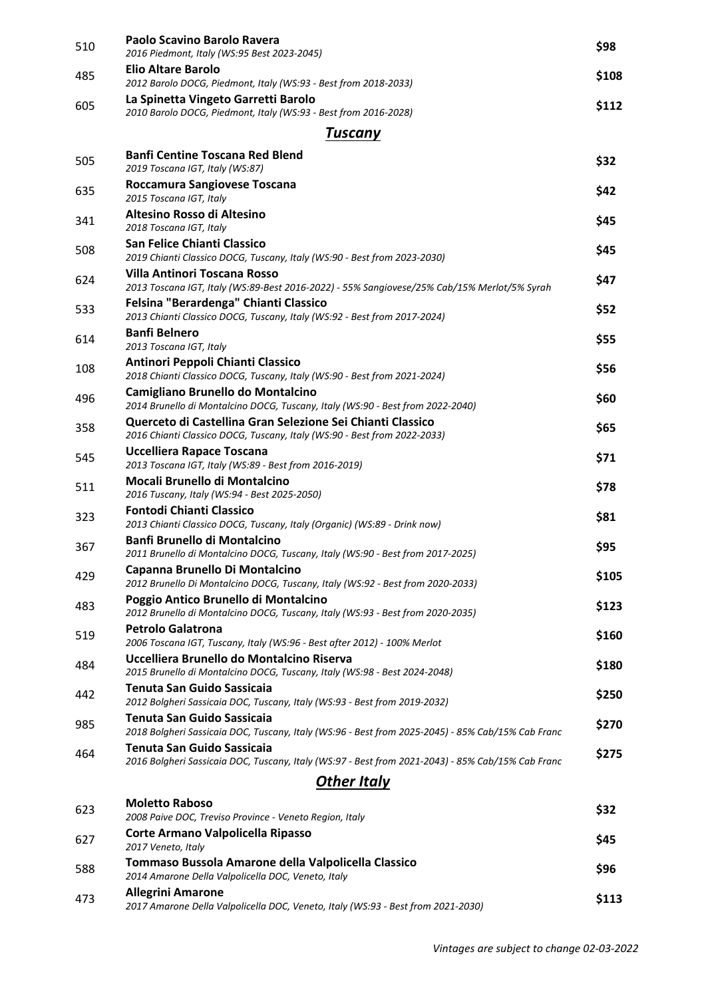| 510 | Paolo Scavino Barolo Ravera<br>2016 Piedmont, Italy (WS:95 Best 2023-2045)                                                                               | \$98  |
|-----|----------------------------------------------------------------------------------------------------------------------------------------------------------|-------|
| 485 | <b>Elio Altare Barolo</b>                                                                                                                                | \$108 |
|     | 2012 Barolo DOCG, Piedmont, Italy (WS:93 - Best from 2018-2033)                                                                                          |       |
| 605 | La Spinetta Vingeto Garretti Barolo<br>2010 Barolo DOCG, Piedmont, Italy (WS:93 - Best from 2016-2028)                                                   | \$112 |
|     | <b>Tuscany</b>                                                                                                                                           |       |
| 505 | <b>Banfi Centine Toscana Red Blend</b><br>2019 Toscana IGT, Italy (WS:87)                                                                                | \$32  |
| 635 | Roccamura Sangiovese Toscana<br>2015 Toscana IGT, Italy                                                                                                  | \$42  |
| 341 | Altesino Rosso di Altesino<br>2018 Toscana IGT, Italy                                                                                                    | \$45  |
| 508 | San Felice Chianti Classico<br>2019 Chianti Classico DOCG, Tuscany, Italy (WS:90 - Best from 2023-2030)                                                  | \$45  |
| 624 | <b>Villa Antinori Toscana Rosso</b><br>2013 Toscana IGT, Italy (WS:89-Best 2016-2022) - 55% Sangiovese/25% Cab/15% Merlot/5% Syrah                       | \$47  |
| 533 | Felsina "Berardenga" Chianti Classico<br>2013 Chianti Classico DOCG, Tuscany, Italy (WS:92 - Best from 2017-2024)                                        | \$52  |
| 614 | <b>Banfi Belnero</b><br>2013 Toscana IGT, Italy                                                                                                          | \$55  |
| 108 | Antinori Peppoli Chianti Classico<br>2018 Chianti Classico DOCG, Tuscany, Italy (WS:90 - Best from 2021-2024)                                            | \$56  |
| 496 | Camigliano Brunello do Montalcino<br>2014 Brunello di Montalcino DOCG, Tuscany, Italy (WS:90 - Best from 2022-2040)                                      | \$60  |
| 358 | Querceto di Castellina Gran Selezione Sei Chianti Classico<br>2016 Chianti Classico DOCG, Tuscany, Italy (WS:90 - Best from 2022-2033)                   | \$65  |
| 545 | Uccelliera Rapace Toscana<br>2013 Toscana IGT, Italy (WS:89 - Best from 2016-2019)                                                                       | \$71  |
| 511 | Mocali Brunello di Montalcino<br>2016 Tuscany, Italy (WS:94 - Best 2025-2050)                                                                            | \$78  |
| 323 | <b>Fontodi Chianti Classico</b><br>2013 Chianti Classico DOCG, Tuscany, Italy (Organic) (WS:89 - Drink now)<br><b>Banfi Brunello di Montalcino</b>       | \$81  |
| 367 | 2011 Brunello di Montalcino DOCG, Tuscany, Italy (WS:90 - Best from 2017-2025)                                                                           | \$95  |
| 429 | Capanna Brunello Di Montalcino<br>2012 Brunello Di Montalcino DOCG, Tuscany, Italy (WS:92 - Best from 2020-2033)<br>Poggio Antico Brunello di Montalcino | \$105 |
| 483 | 2012 Brunello di Montalcino DOCG, Tuscany, Italy (WS:93 - Best from 2020-2035)<br><b>Petrolo Galatrona</b>                                               | \$123 |
| 519 | 2006 Toscana IGT, Tuscany, Italy (WS:96 - Best after 2012) - 100% Merlot<br>Uccelliera Brunello do Montalcino Riserva                                    | \$160 |
| 484 | 2015 Brunello di Montalcino DOCG, Tuscany, Italy (WS:98 - Best 2024-2048)<br><b>Tenuta San Guido Sassicaia</b>                                           | \$180 |
| 442 | 2012 Bolgheri Sassicaia DOC, Tuscany, Italy (WS:93 - Best from 2019-2032)<br><b>Tenuta San Guido Sassicaia</b>                                           | \$250 |
| 985 | 2018 Bolgheri Sassicaia DOC, Tuscany, Italy (WS:96 - Best from 2025-2045) - 85% Cab/15% Cab Franc<br><b>Tenuta San Guido Sassicaia</b>                   | \$270 |
| 464 | 2016 Bolgheri Sassicaia DOC, Tuscany, Italy (WS:97 - Best from 2021-2043) - 85% Cab/15% Cab Franc                                                        | \$275 |
|     | <b>Other Italy</b>                                                                                                                                       |       |
| 623 | <b>Moletto Raboso</b><br>2008 Paive DOC, Treviso Province - Veneto Region, Italy                                                                         | \$32  |
| 627 | Corte Armano Valpolicella Ripasso<br>2017 Veneto, Italy                                                                                                  | \$45  |
| 588 | Tommaso Bussola Amarone della Valpolicella Classico<br>2014 Amarone Della Valpolicella DOC, Veneto, Italy                                                | \$96  |
| 473 | <b>Allegrini Amarone</b><br>2017 Amarone Della Valpolicella DOC, Veneto, Italy (WS:93 - Best from 2021-2030)                                             | \$113 |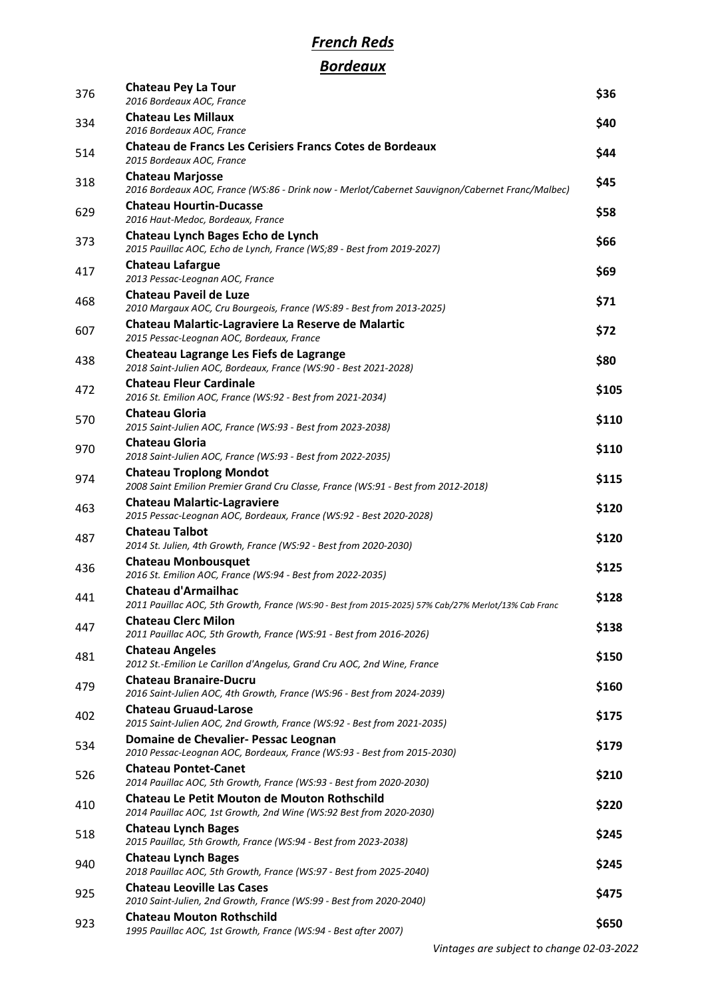# *French Reds*

# *Bordeaux*

| 376 | <b>Chateau Pey La Tour</b><br>2016 Bordeaux AOC, France                                                                            | \$36  |
|-----|------------------------------------------------------------------------------------------------------------------------------------|-------|
| 334 | <b>Chateau Les Millaux</b><br>2016 Bordeaux AOC, France                                                                            | \$40  |
| 514 | <b>Chateau de Francs Les Cerisiers Francs Cotes de Bordeaux</b><br>2015 Bordeaux AOC, France                                       | \$44  |
| 318 | <b>Chateau Marjosse</b><br>2016 Bordeaux AOC, France (WS:86 - Drink now - Merlot/Cabernet Sauvignon/Cabernet Franc/Malbec)         | \$45  |
| 629 | <b>Chateau Hourtin-Ducasse</b><br>2016 Haut-Medoc, Bordeaux, France                                                                | \$58  |
| 373 | Chateau Lynch Bages Echo de Lynch<br>2015 Pauillac AOC, Echo de Lynch, France (WS;89 - Best from 2019-2027)                        | \$66  |
| 417 | <b>Chateau Lafargue</b><br>2013 Pessac-Leognan AOC, France                                                                         | \$69  |
| 468 | <b>Chateau Paveil de Luze</b><br>2010 Margaux AOC, Cru Bourgeois, France (WS:89 - Best from 2013-2025)                             | \$71  |
| 607 | Chateau Malartic-Lagraviere La Reserve de Malartic<br>2015 Pessac-Leognan AOC, Bordeaux, France                                    | \$72  |
| 438 | Cheateau Lagrange Les Fiefs de Lagrange<br>2018 Saint-Julien AOC, Bordeaux, France (WS:90 - Best 2021-2028)                        | \$80  |
| 472 | <b>Chateau Fleur Cardinale</b><br>2016 St. Emilion AOC, France (WS:92 - Best from 2021-2034)                                       | \$105 |
| 570 | <b>Chateau Gloria</b><br>2015 Saint-Julien AOC, France (WS:93 - Best from 2023-2038)                                               | \$110 |
| 970 | <b>Chateau Gloria</b><br>2018 Saint-Julien AOC, France (WS:93 - Best from 2022-2035)                                               | \$110 |
| 974 | <b>Chateau Troplong Mondot</b><br>2008 Saint Emilion Premier Grand Cru Classe, France (WS:91 - Best from 2012-2018)                | \$115 |
| 463 | <b>Chateau Malartic-Lagraviere</b>                                                                                                 | \$120 |
| 487 | 2015 Pessac-Leognan AOC, Bordeaux, France (WS:92 - Best 2020-2028)<br><b>Chateau Talbot</b>                                        | \$120 |
| 436 | 2014 St. Julien, 4th Growth, France (WS:92 - Best from 2020-2030)<br><b>Chateau Monbousquet</b>                                    | \$125 |
| 441 | 2016 St. Emilion AOC, France (WS:94 - Best from 2022-2035)<br><b>Chateau d'Armailhac</b>                                           | \$128 |
| 447 | 2011 Pauillac AOC, 5th Growth, France (WS:90 - Best from 2015-2025) 57% Cab/27% Merlot/13% Cab Franc<br><b>Chateau Clerc Milon</b> | \$138 |
| 481 | 2011 Pauillac AOC, 5th Growth, France (WS:91 - Best from 2016-2026)<br><b>Chateau Angeles</b>                                      | \$150 |
| 479 | 2012 St.-Emilion Le Carillon d'Angelus, Grand Cru AOC, 2nd Wine, France<br><b>Chateau Branaire-Ducru</b>                           | \$160 |
| 402 | 2016 Saint-Julien AOC, 4th Growth, France (WS:96 - Best from 2024-2039)<br><b>Chateau Gruaud-Larose</b>                            | \$175 |
| 534 | 2015 Saint-Julien AOC, 2nd Growth, France (WS:92 - Best from 2021-2035)<br>Domaine de Chevalier- Pessac Leognan                    | \$179 |
| 526 | 2010 Pessac-Leognan AOC, Bordeaux, France (WS:93 - Best from 2015-2030)<br><b>Chateau Pontet-Canet</b>                             | \$210 |
|     | 2014 Pauillac AOC, 5th Growth, France (WS:93 - Best from 2020-2030)<br><b>Chateau Le Petit Mouton de Mouton Rothschild</b>         |       |
| 410 | 2014 Pauillac AOC, 1st Growth, 2nd Wine (WS:92 Best from 2020-2030)<br><b>Chateau Lynch Bages</b>                                  | \$220 |
| 518 | 2015 Pauillac, 5th Growth, France (WS:94 - Best from 2023-2038)                                                                    | \$245 |
| 940 | <b>Chateau Lynch Bages</b><br>2018 Pauillac AOC, 5th Growth, France (WS:97 - Best from 2025-2040)                                  | \$245 |
| 925 | <b>Chateau Leoville Las Cases</b><br>2010 Saint-Julien, 2nd Growth, France (WS:99 - Best from 2020-2040)                           | \$475 |
| 923 | <b>Chateau Mouton Rothschild</b><br>1995 Pauillac AOC, 1st Growth, France (WS:94 - Best after 2007)                                | \$650 |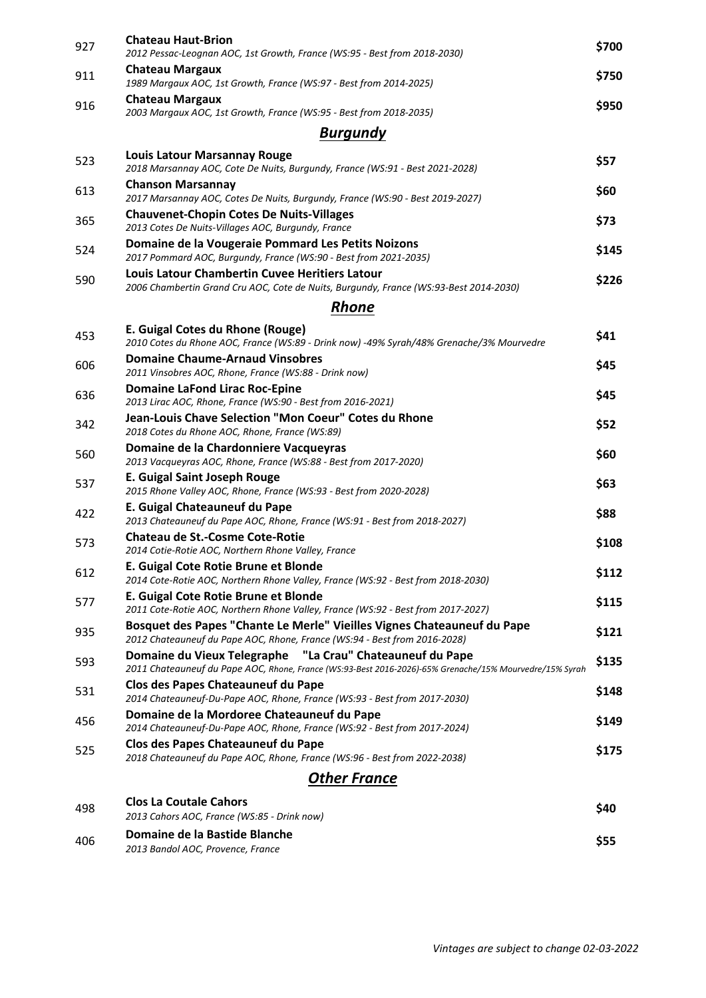| 927 | <b>Chateau Haut-Brion</b><br>2012 Pessac-Leognan AOC, 1st Growth, France (WS:95 - Best from 2018-2030)                                                               | \$700 |
|-----|----------------------------------------------------------------------------------------------------------------------------------------------------------------------|-------|
| 911 | <b>Chateau Margaux</b><br>1989 Margaux AOC, 1st Growth, France (WS:97 - Best from 2014-2025)                                                                         | \$750 |
| 916 | <b>Chateau Margaux</b><br>2003 Margaux AOC, 1st Growth, France (WS:95 - Best from 2018-2035)                                                                         | \$950 |
|     | <b>Burgundy</b>                                                                                                                                                      |       |
| 523 | <b>Louis Latour Marsannay Rouge</b><br>2018 Marsannay AOC, Cote De Nuits, Burgundy, France (WS:91 - Best 2021-2028)                                                  | \$57  |
| 613 | <b>Chanson Marsannay</b><br>2017 Marsannay AOC, Cotes De Nuits, Burgundy, France (WS:90 - Best 2019-2027)                                                            | \$60  |
| 365 | <b>Chauvenet-Chopin Cotes De Nuits-Villages</b><br>2013 Cotes De Nuits-Villages AOC, Burgundy, France                                                                | \$73  |
| 524 | Domaine de la Vougeraie Pommard Les Petits Noizons<br>2017 Pommard AOC, Burgundy, France (WS:90 - Best from 2021-2035)                                               | \$145 |
| 590 | Louis Latour Chambertin Cuvee Heritiers Latour<br>2006 Chambertin Grand Cru AOC, Cote de Nuits, Burgundy, France (WS:93-Best 2014-2030)                              | \$226 |
|     | <b>Rhone</b>                                                                                                                                                         |       |
| 453 | E. Guigal Cotes du Rhone (Rouge)<br>2010 Cotes du Rhone AOC, France (WS:89 - Drink now) -49% Syrah/48% Grenache/3% Mourvedre                                         | \$41  |
| 606 | <b>Domaine Chaume-Arnaud Vinsobres</b><br>2011 Vinsobres AOC, Rhone, France (WS:88 - Drink now)                                                                      | \$45  |
| 636 | <b>Domaine LaFond Lirac Roc-Epine</b><br>2013 Lirac AOC, Rhone, France (WS:90 - Best from 2016-2021)                                                                 | \$45  |
| 342 | Jean-Louis Chave Selection "Mon Coeur" Cotes du Rhone<br>2018 Cotes du Rhone AOC, Rhone, France (WS:89)                                                              | \$52  |
| 560 | Domaine de la Chardonniere Vacqueyras<br>2013 Vacqueyras AOC, Rhone, France (WS:88 - Best from 2017-2020)                                                            | \$60  |
| 537 | <b>E. Guigal Saint Joseph Rouge</b><br>2015 Rhone Valley AOC, Rhone, France (WS:93 - Best from 2020-2028)                                                            | \$63  |
| 422 | E. Guigal Chateauneuf du Pape<br>2013 Chateauneuf du Pape AOC, Rhone, France (WS:91 - Best from 2018-2027)                                                           | \$88  |
| 573 | <b>Chateau de St.-Cosme Cote-Rotie</b><br>2014 Cotie-Rotie AOC, Northern Rhone Valley, France                                                                        | \$108 |
| 612 | E. Guigal Cote Rotie Brune et Blonde<br>2014 Cote-Rotie AOC, Northern Rhone Valley, France (WS:92 - Best from 2018-2030)                                             | \$112 |
| 577 | E. Guigal Cote Rotie Brune et Blonde<br>2011 Cote-Rotie AOC, Northern Rhone Valley, France (WS:92 - Best from 2017-2027)                                             | \$115 |
| 935 | Bosquet des Papes "Chante Le Merle" Vieilles Vignes Chateauneuf du Pape<br>2012 Chateauneuf du Pape AOC, Rhone, France (WS:94 - Best from 2016-2028)                 | \$121 |
| 593 | Domaine du Vieux Telegraphe "La Crau" Chateauneuf du Pape<br>2011 Chateauneuf du Pape AOC, Rhone, France (WS:93-Best 2016-2026)-65% Grenache/15% Mourvedre/15% Syrah | \$135 |
| 531 | Clos des Papes Chateauneuf du Pape<br>2014 Chateauneuf-Du-Pape AOC, Rhone, France (WS:93 - Best from 2017-2030)                                                      | \$148 |
| 456 | Domaine de la Mordoree Chateauneuf du Pape<br>2014 Chateauneuf-Du-Pape AOC, Rhone, France (WS:92 - Best from 2017-2024)                                              | \$149 |
| 525 | Clos des Papes Chateauneuf du Pape<br>2018 Chateauneuf du Pape AOC, Rhone, France (WS:96 - Best from 2022-2038)                                                      | \$175 |
|     | <b>Other France</b>                                                                                                                                                  |       |
| 498 | <b>Clos La Coutale Cahors</b><br>2013 Cahors AOC, France (WS:85 - Drink now)                                                                                         | \$40  |
|     | Domaine de la Bastide Blanche                                                                                                                                        |       |

| 406 | Domaine de la Bastide Blanche     | \$55 |
|-----|-----------------------------------|------|
|     | 2013 Bandol AOC, Provence, France |      |